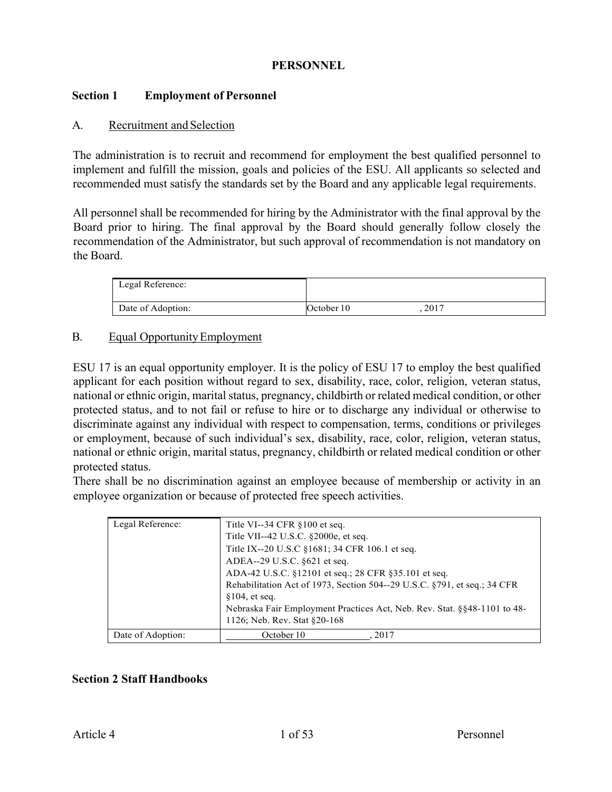### **PERSONNEL**

### **Section 1 Employment of Personnel**

#### A. Recruitment and Selection

The administration is to recruit and recommend for employment the best qualified personnel to implement and fulfill the mission, goals and policies of the ESU. All applicants so selected and recommended must satisfy the standards set by the Board and any applicable legal requirements.

All personnel shall be recommended for hiring by the Administrator with the final approval by the Board prior to hiring. The final approval by the Board should generally follow closely the recommendation of the Administrator, but such approval of recommendation is not mandatory on the Board.

| Legal Reference:  |            |      |
|-------------------|------------|------|
| Date of Adoption: | October 10 | 2017 |

### B. Equal Opportunity Employment

ESU 17 is an equal opportunity employer. It is the policy of ESU 17 to employ the best qualified applicant for each position without regard to sex, disability, race, color, religion, veteran status, national or ethnic origin, marital status, pregnancy, childbirth or related medical condition, or other protected status, and to not fail or refuse to hire or to discharge any individual or otherwise to discriminate against any individual with respect to compensation, terms, conditions or privileges or employment, because of such individual's sex, disability, race, color, religion, veteran status, national or ethnic origin, marital status, pregnancy, childbirth or related medical condition or other protected status.

There shall be no discrimination against an employee because of membership or activity in an employee organization or because of protected free speech activities.

| Legal Reference:  | Title VI--34 CFR $§100$ et seq.<br>Title VII--42 U.S.C. §2000e, et seq.<br>Title IX--20 U.S.C §1681; 34 CFR 106.1 et seq.<br>ADEA--29 U.S.C. §621 et seq.<br>ADA-42 U.S.C. §12101 et seq.; 28 CFR §35.101 et seq.<br>Rehabilitation Act of 1973, Section 504--29 U.S.C. §791, et seq.; 34 CFR<br>$§104$ , et seq.<br>Nebraska Fair Employment Practices Act, Neb. Rev. Stat. §§48-1101 to 48-<br>1126; Neb. Rev. Stat §20-168 |
|-------------------|-------------------------------------------------------------------------------------------------------------------------------------------------------------------------------------------------------------------------------------------------------------------------------------------------------------------------------------------------------------------------------------------------------------------------------|
| Date of Adoption: | October 10<br>2017                                                                                                                                                                                                                                                                                                                                                                                                            |

### **Section 2 Staff Handbooks**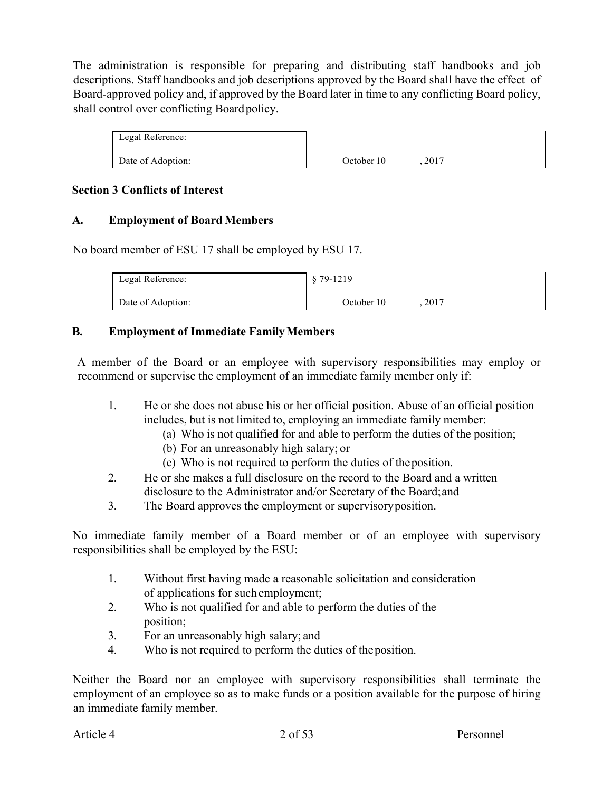The administration is responsible for preparing and distributing staff handbooks and job descriptions. Staff handbooks and job descriptions approved by the Board shall have the effect of Board-approved policy and, if approved by the Board later in time to any conflicting Board policy, shall control over conflicting Boardpolicy.

| Legal Reference:  |            |      |  |
|-------------------|------------|------|--|
| Date of Adoption: | October 10 | 2017 |  |

### **Section 3 Conflicts of Interest**

### **A. Employment of Board Members**

No board member of ESU 17 shall be employed by ESU 17.

| Legal Reference:  | \$79-1219          |
|-------------------|--------------------|
| Date of Adoption: | 2017<br>October 10 |

### **B. Employment of Immediate FamilyMembers**

A member of the Board or an employee with supervisory responsibilities may employ or recommend or supervise the employment of an immediate family member only if:

- 1. He or she does not abuse his or her official position. Abuse of an official position includes, but is not limited to, employing an immediate family member:
	- (a) Who is not qualified for and able to perform the duties of the position;
	- (b) For an unreasonably high salary; or
	- (c) Who is not required to perform the duties of theposition.
- 2. He or she makes a full disclosure on the record to the Board and a written disclosure to the Administrator and/or Secretary of the Board;and
- 3. The Board approves the employment or supervisoryposition.

No immediate family member of a Board member or of an employee with supervisory responsibilities shall be employed by the ESU:

- 1. Without first having made a reasonable solicitation and consideration of applications for such employment;
- 2. Who is not qualified for and able to perform the duties of the position;
- 3. For an unreasonably high salary; and
- 4. Who is not required to perform the duties of theposition.

Neither the Board nor an employee with supervisory responsibilities shall terminate the employment of an employee so as to make funds or a position available for the purpose of hiring an immediate family member.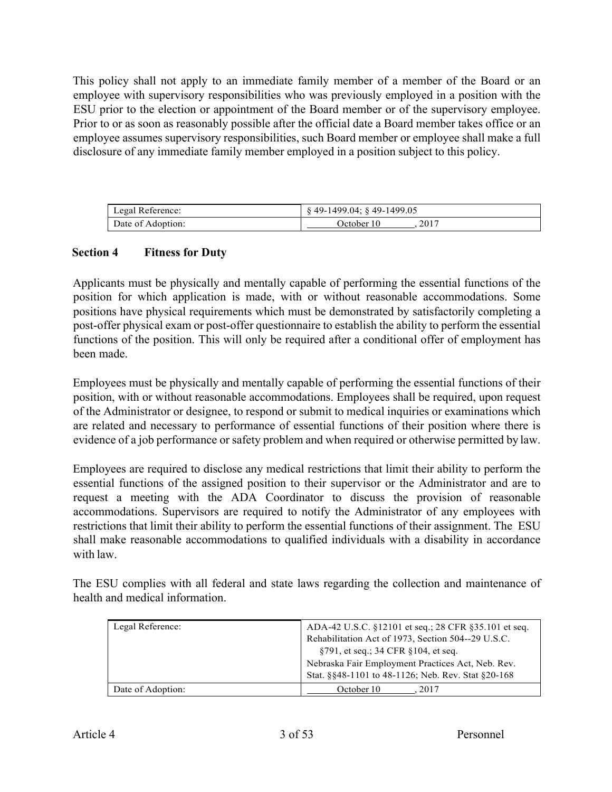This policy shall not apply to an immediate family member of a member of the Board or an employee with supervisory responsibilities who was previously employed in a position with the ESU prior to the election or appointment of the Board member or of the supervisory employee. Prior to or as soon as reasonably possible after the official date a Board member takes office or an employee assumes supervisory responsibilities, such Board member or employee shall make a full disclosure of any immediate family member employed in a position subject to this policy.

| Legal Reference:  | $\S$ 49-1499.04; $\S$ 49-1499.05 |
|-------------------|----------------------------------|
| Date of Adoption: | 2017<br>October 10               |

### **Section 4 Fitness for Duty**

Applicants must be physically and mentally capable of performing the essential functions of the position for which application is made, with or without reasonable accommodations. Some positions have physical requirements which must be demonstrated by satisfactorily completing a post-offer physical exam or post-offer questionnaire to establish the ability to perform the essential functions of the position. This will only be required after a conditional offer of employment has been made.

Employees must be physically and mentally capable of performing the essential functions of their position, with or without reasonable accommodations. Employees shall be required, upon request of the Administrator or designee, to respond or submit to medical inquiries or examinations which are related and necessary to performance of essential functions of their position where there is evidence of a job performance or safety problem and when required or otherwise permitted by law.

Employees are required to disclose any medical restrictions that limit their ability to perform the essential functions of the assigned position to their supervisor or the Administrator and are to request a meeting with the ADA Coordinator to discuss the provision of reasonable accommodations. Supervisors are required to notify the Administrator of any employees with restrictions that limit their ability to perform the essential functions of their assignment. The ESU shall make reasonable accommodations to qualified individuals with a disability in accordance with law.

The ESU complies with all federal and state laws regarding the collection and maintenance of health and medical information.

| Legal Reference:  | ADA-42 U.S.C. §12101 et seq.; 28 CFR §35.101 et seq. |  |
|-------------------|------------------------------------------------------|--|
|                   | Rehabilitation Act of 1973, Section 504--29 U.S.C.   |  |
|                   | $\S 791$ , et seq.; 34 CFR $\S 104$ , et seq.        |  |
|                   | Nebraska Fair Employment Practices Act, Neb. Rev.    |  |
|                   | Stat. §§48-1101 to 48-1126; Neb. Rev. Stat §20-168   |  |
| Date of Adoption: | October 10<br>2017                                   |  |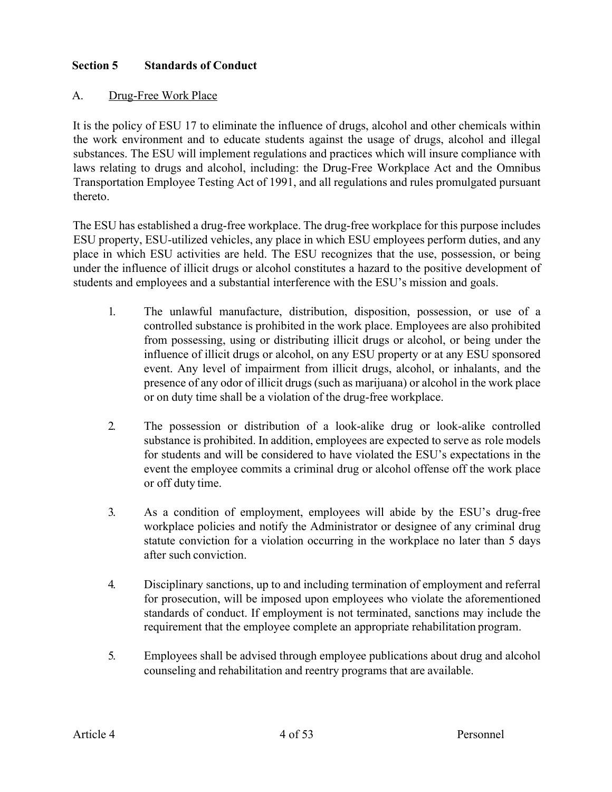### **Section 5 Standards of Conduct**

### A. Drug-Free Work Place

It is the policy of ESU 17 to eliminate the influence of drugs, alcohol and other chemicals within the work environment and to educate students against the usage of drugs, alcohol and illegal substances. The ESU will implement regulations and practices which will insure compliance with laws relating to drugs and alcohol, including: the Drug-Free Workplace Act and the Omnibus Transportation Employee Testing Act of 1991, and all regulations and rules promulgated pursuant thereto.

The ESU has established a drug-free workplace. The drug-free workplace for this purpose includes ESU property, ESU-utilized vehicles, any place in which ESU employees perform duties, and any place in which ESU activities are held. The ESU recognizes that the use, possession, or being under the influence of illicit drugs or alcohol constitutes a hazard to the positive development of students and employees and a substantial interference with the ESU's mission and goals.

- 1. The unlawful manufacture, distribution, disposition, possession, or use of a controlled substance is prohibited in the work place. Employees are also prohibited from possessing, using or distributing illicit drugs or alcohol, or being under the influence of illicit drugs or alcohol, on any ESU property or at any ESU sponsored event. Any level of impairment from illicit drugs, alcohol, or inhalants, and the presence of any odor of illicit drugs (such as marijuana) or alcohol in the work place or on duty time shall be a violation of the drug-free workplace.
- 2. The possession or distribution of a look-alike drug or look-alike controlled substance is prohibited. In addition, employees are expected to serve as role models for students and will be considered to have violated the ESU's expectations in the event the employee commits a criminal drug or alcohol offense off the work place or off duty time.
- 3. As a condition of employment, employees will abide by the ESU's drug-free workplace policies and notify the Administrator or designee of any criminal drug statute conviction for a violation occurring in the workplace no later than 5 days after such conviction.
- 4. Disciplinary sanctions, up to and including termination of employment and referral for prosecution, will be imposed upon employees who violate the aforementioned standards of conduct. If employment is not terminated, sanctions may include the requirement that the employee complete an appropriate rehabilitation program.
- 5. Employees shall be advised through employee publications about drug and alcohol counseling and rehabilitation and reentry programs that are available.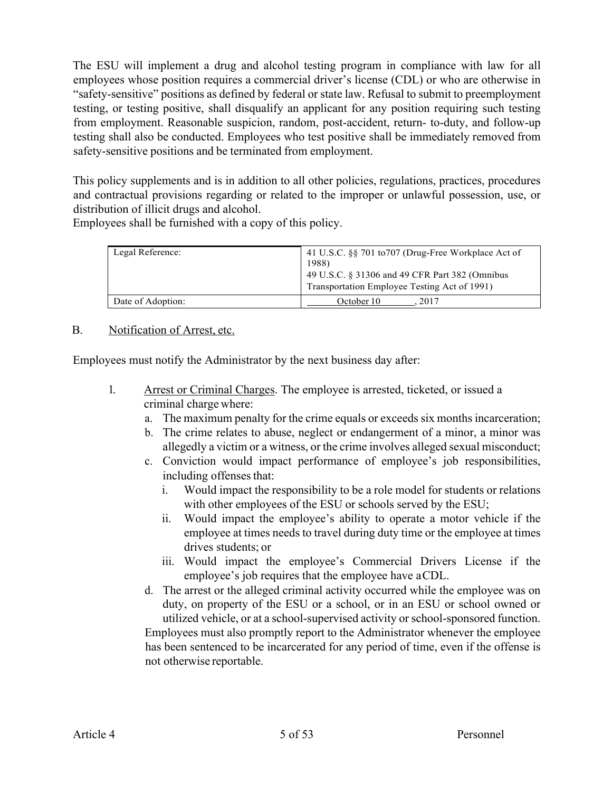The ESU will implement a drug and alcohol testing program in compliance with law for all employees whose position requires a commercial driver's license (CDL) or who are otherwise in "safety-sensitive" positions as defined by federal or state law. Refusal to submit to preemployment testing, or testing positive, shall disqualify an applicant for any position requiring such testing from employment. Reasonable suspicion, random, post-accident, return- to-duty, and follow-up testing shall also be conducted. Employees who test positive shall be immediately removed from safety-sensitive positions and be terminated from employment.

This policy supplements and is in addition to all other policies, regulations, practices, procedures and contractual provisions regarding or related to the improper or unlawful possession, use, or distribution of illicit drugs and alcohol.

Employees shall be furnished with a copy of this policy.

| Legal Reference:  | 41 U.S.C. §§ 701 to 707 (Drug-Free Workplace Act of<br>1988)<br>49 U.S.C. § 31306 and 49 CFR Part 382 (Omnibus<br>Transportation Employee Testing Act of 1991) |
|-------------------|----------------------------------------------------------------------------------------------------------------------------------------------------------------|
| Date of Adoption: | October 10<br>2017                                                                                                                                             |

### B. Notification of Arrest, etc.

Employees must notify the Administrator by the next business day after:

- 1. Arrest or Criminal Charges. The employee is arrested, ticketed, or issued a criminal charge where:
	- a. The maximum penalty for the crime equals or exceeds six months incarceration;
	- b. The crime relates to abuse, neglect or endangerment of a minor, a minor was allegedly a victim or a witness, or the crime involves alleged sexual misconduct;
	- c. Conviction would impact performance of employee's job responsibilities, including offenses that:
		- i. Would impact the responsibility to be a role model for students or relations with other employees of the ESU or schools served by the ESU;
		- ii. Would impact the employee's ability to operate a motor vehicle if the employee at times needs to travel during duty time or the employee at times drives students; or
		- iii. Would impact the employee's Commercial Drivers License if the employee's job requires that the employee have aCDL.
	- d. The arrest or the alleged criminal activity occurred while the employee was on duty, on property of the ESU or a school, or in an ESU or school owned or utilized vehicle, or at a school-supervised activity or school-sponsored function. Employees must also promptly report to the Administrator whenever the employee has been sentenced to be incarcerated for any period of time, even if the offense is not otherwise reportable.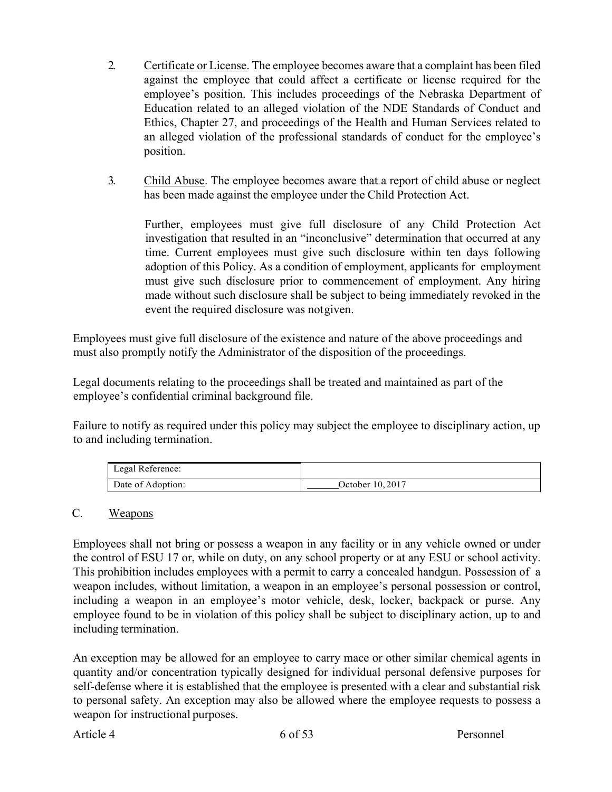- 2. Certificate or License. The employee becomes aware that a complaint has been filed against the employee that could affect a certificate or license required for the employee's position. This includes proceedings of the Nebraska Department of Education related to an alleged violation of the NDE Standards of Conduct and Ethics, Chapter 27, and proceedings of the Health and Human Services related to an alleged violation of the professional standards of conduct for the employee's position.
- 3. Child Abuse. The employee becomes aware that a report of child abuse or neglect has been made against the employee under the Child Protection Act.

Further, employees must give full disclosure of any Child Protection Act investigation that resulted in an "inconclusive" determination that occurred at any time. Current employees must give such disclosure within ten days following adoption of this Policy. As a condition of employment, applicants for employment must give such disclosure prior to commencement of employment. Any hiring made without such disclosure shall be subject to being immediately revoked in the event the required disclosure was notgiven.

Employees must give full disclosure of the existence and nature of the above proceedings and must also promptly notify the Administrator of the disposition of the proceedings.

Legal documents relating to the proceedings shall be treated and maintained as part of the employee's confidential criminal background file.

Failure to notify as required under this policy may subject the employee to disciplinary action, up to and including termination.

| Legal Reference:  |                  |
|-------------------|------------------|
| Date of Adoption: | October 10, 2017 |

### C. Weapons

Employees shall not bring or possess a weapon in any facility or in any vehicle owned or under the control of ESU 17 or, while on duty, on any school property or at any ESU or school activity. This prohibition includes employees with a permit to carry a concealed handgun. Possession of a weapon includes, without limitation, a weapon in an employee's personal possession or control, including a weapon in an employee's motor vehicle, desk, locker, backpack or purse. Any employee found to be in violation of this policy shall be subject to disciplinary action, up to and including termination.

An exception may be allowed for an employee to carry mace or other similar chemical agents in quantity and/or concentration typically designed for individual personal defensive purposes for self-defense where it is established that the employee is presented with a clear and substantial risk to personal safety. An exception may also be allowed where the employee requests to possess a weapon for instructional purposes.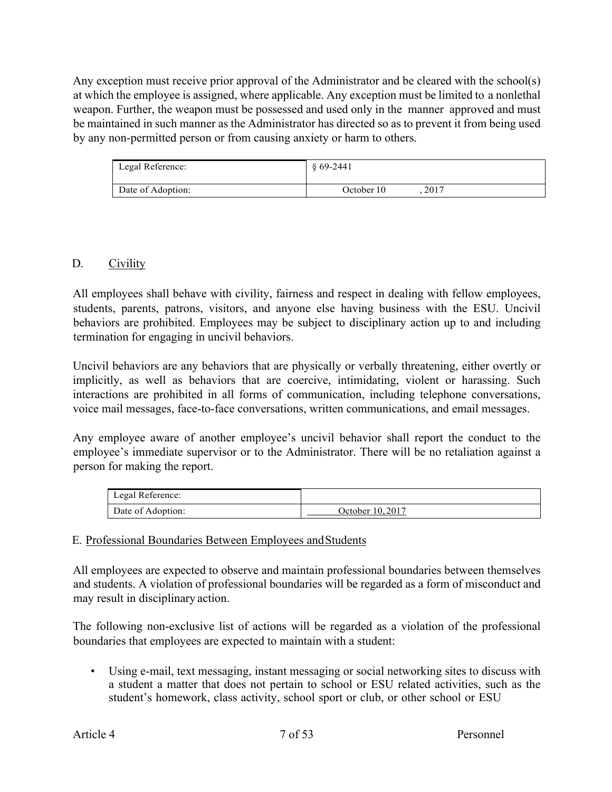Any exception must receive prior approval of the Administrator and be cleared with the school(s) at which the employee is assigned, where applicable. Any exception must be limited to a nonlethal weapon. Further, the weapon must be possessed and used only in the manner approved and must be maintained in such manner as the Administrator has directed so as to prevent it from being used by any non-permitted person or from causing anxiety or harm to others.

| Legal Reference:  | $$69-2441$ |      |  |
|-------------------|------------|------|--|
| Date of Adoption: | October 10 | 2017 |  |

### D. Civility

All employees shall behave with civility, fairness and respect in dealing with fellow employees, students, parents, patrons, visitors, and anyone else having business with the ESU. Uncivil behaviors are prohibited. Employees may be subject to disciplinary action up to and including termination for engaging in uncivil behaviors.

Uncivil behaviors are any behaviors that are physically or verbally threatening, either overtly or implicitly, as well as behaviors that are coercive, intimidating, violent or harassing. Such interactions are prohibited in all forms of communication, including telephone conversations, voice mail messages, face-to-face conversations, written communications, and email messages.

Any employee aware of another employee's uncivil behavior shall report the conduct to the employee's immediate supervisor or to the Administrator. There will be no retaliation against a person for making the report.

| Legal Reference:  |                  |
|-------------------|------------------|
| Date of Adoption: | October 10, 2017 |

### E. Professional Boundaries Between Employees andStudents

All employees are expected to observe and maintain professional boundaries between themselves and students. A violation of professional boundaries will be regarded as a form of misconduct and may result in disciplinary action.

The following non-exclusive list of actions will be regarded as a violation of the professional boundaries that employees are expected to maintain with a student:

• Using e-mail, text messaging, instant messaging or social networking sites to discuss with a student a matter that does not pertain to school or ESU related activities, such as the student's homework, class activity, school sport or club, or other school or ESU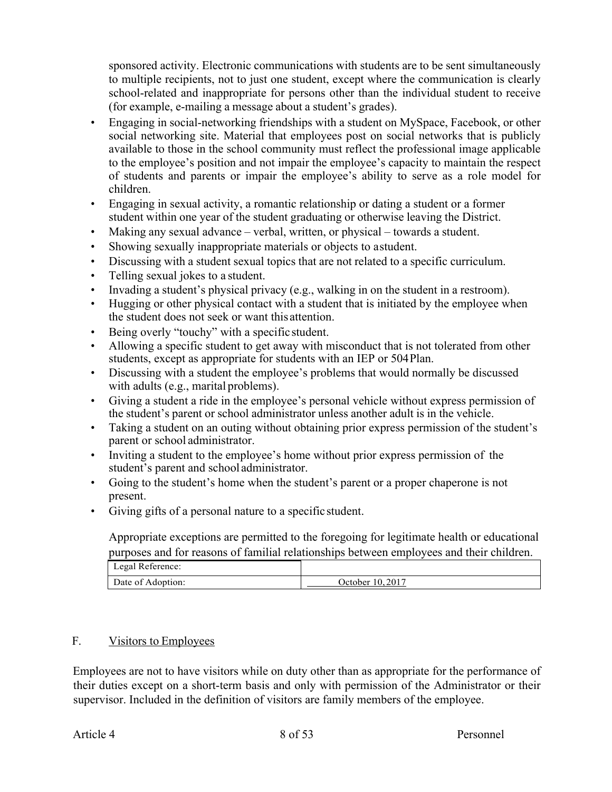sponsored activity. Electronic communications with students are to be sent simultaneously to multiple recipients, not to just one student, except where the communication is clearly school-related and inappropriate for persons other than the individual student to receive (for example, e-mailing a message about a student's grades).

- Engaging in social-networking friendships with a student on MySpace, Facebook, or other social networking site. Material that employees post on social networks that is publicly available to those in the school community must reflect the professional image applicable to the employee's position and not impair the employee's capacity to maintain the respect of students and parents or impair the employee's ability to serve as a role model for children.
- Engaging in sexual activity, a romantic relationship or dating a student or a former student within one year of the student graduating or otherwise leaving the District.
- Making any sexual advance verbal, written, or physical towards a student.
- Showing sexually inappropriate materials or objects to astudent.
- Discussing with a student sexual topics that are not related to a specific curriculum.
- Telling sexual jokes to a student.
- Invading a student's physical privacy (e.g., walking in on the student in a restroom).
- Hugging or other physical contact with a student that is initiated by the employee when the student does not seek or want this attention.
- Being overly "touchy" with a specific student.
- Allowing a specific student to get away with misconduct that is not tolerated from other students, except as appropriate for students with an IEP or 504Plan.
- Discussing with a student the employee's problems that would normally be discussed with adults (e.g., marital problems).
- Giving a student a ride in the employee's personal vehicle without express permission of the student's parent or school administrator unless another adult is in the vehicle.
- Taking a student on an outing without obtaining prior express permission of the student's parent or school administrator.
- Inviting a student to the employee's home without prior express permission of the student's parent and school administrator.
- Going to the student's home when the student's parent or a proper chaperone is not present.
- Giving gifts of a personal nature to a specific student.

Appropriate exceptions are permitted to the foregoing for legitimate health or educational purposes and for reasons of familial relationships between employees and their children.

| Legal Reference:  |                 |
|-------------------|-----------------|
| Date of Adoption: | October 10.2017 |

### F. Visitors to Employees

Employees are not to have visitors while on duty other than as appropriate for the performance of their duties except on a short-term basis and only with permission of the Administrator or their supervisor. Included in the definition of visitors are family members of the employee.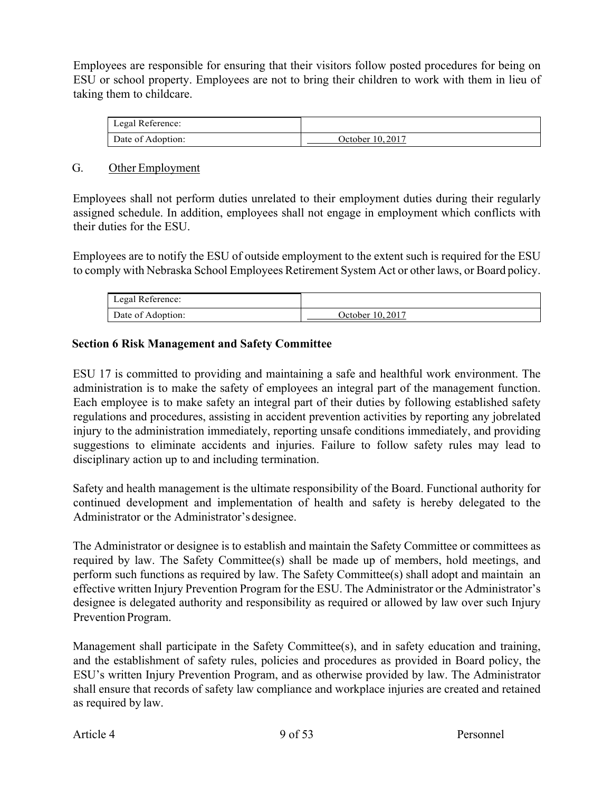Employees are responsible for ensuring that their visitors follow posted procedures for being on ESU or school property. Employees are not to bring their children to work with them in lieu of taking them to childcare.

| Legal Reference:  |                  |
|-------------------|------------------|
| Date of Adoption: | October 10, 2017 |

#### G. Other Employment

Employees shall not perform duties unrelated to their employment duties during their regularly assigned schedule. In addition, employees shall not engage in employment which conflicts with their duties for the ESU.

Employees are to notify the ESU of outside employment to the extent such is required for the ESU to comply with Nebraska School Employees Retirement System Act or other laws, or Board policy.

| Legal Reference:  |                  |
|-------------------|------------------|
| Date of Adoption: | October 10, 2017 |

### **Section 6 Risk Management and Safety Committee**

ESU 17 is committed to providing and maintaining a safe and healthful work environment. The administration is to make the safety of employees an integral part of the management function. Each employee is to make safety an integral part of their duties by following established safety regulations and procedures, assisting in accident prevention activities by reporting any jobrelated injury to the administration immediately, reporting unsafe conditions immediately, and providing suggestions to eliminate accidents and injuries. Failure to follow safety rules may lead to disciplinary action up to and including termination.

Safety and health management is the ultimate responsibility of the Board. Functional authority for continued development and implementation of health and safety is hereby delegated to the Administrator or the Administrator's designee.

The Administrator or designee is to establish and maintain the Safety Committee or committees as required by law. The Safety Committee(s) shall be made up of members, hold meetings, and perform such functions as required by law. The Safety Committee(s) shall adopt and maintain an effective written Injury Prevention Program for the ESU. The Administrator or the Administrator's designee is delegated authority and responsibility as required or allowed by law over such Injury Prevention Program.

Management shall participate in the Safety Committee(s), and in safety education and training, and the establishment of safety rules, policies and procedures as provided in Board policy, the ESU's written Injury Prevention Program, and as otherwise provided by law. The Administrator shall ensure that records of safety law compliance and workplace injuries are created and retained as required by law.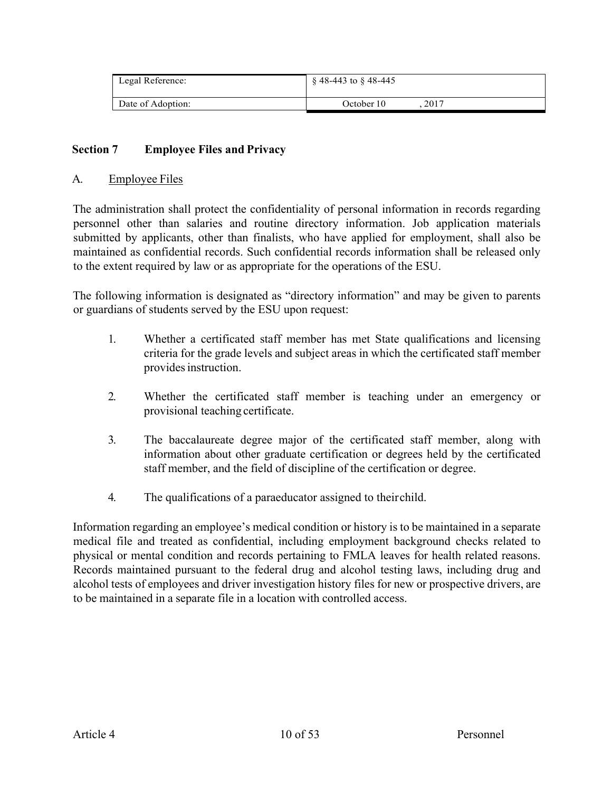| Legal Reference:  | $\S$ 48-443 to $\S$ 48-445 |
|-------------------|----------------------------|
| Date of Adoption: | .2017<br>October 10        |

### **Section 7 Employee Files and Privacy**

#### A. Employee Files

The administration shall protect the confidentiality of personal information in records regarding personnel other than salaries and routine directory information. Job application materials submitted by applicants, other than finalists, who have applied for employment, shall also be maintained as confidential records. Such confidential records information shall be released only to the extent required by law or as appropriate for the operations of the ESU.

The following information is designated as "directory information" and may be given to parents or guardians of students served by the ESU upon request:

- 1. Whether a certificated staff member has met State qualifications and licensing criteria for the grade levels and subject areas in which the certificated staff member provides instruction.
- 2. Whether the certificated staff member is teaching under an emergency or provisional teaching certificate.
- 3. The baccalaureate degree major of the certificated staff member, along with information about other graduate certification or degrees held by the certificated staff member, and the field of discipline of the certification or degree.
- 4. The qualifications of a paraeducator assigned to theirchild.

Information regarding an employee's medical condition or history is to be maintained in a separate medical file and treated as confidential, including employment background checks related to physical or mental condition and records pertaining to FMLA leaves for health related reasons. Records maintained pursuant to the federal drug and alcohol testing laws, including drug and alcohol tests of employees and driver investigation history files for new or prospective drivers, are to be maintained in a separate file in a location with controlled access.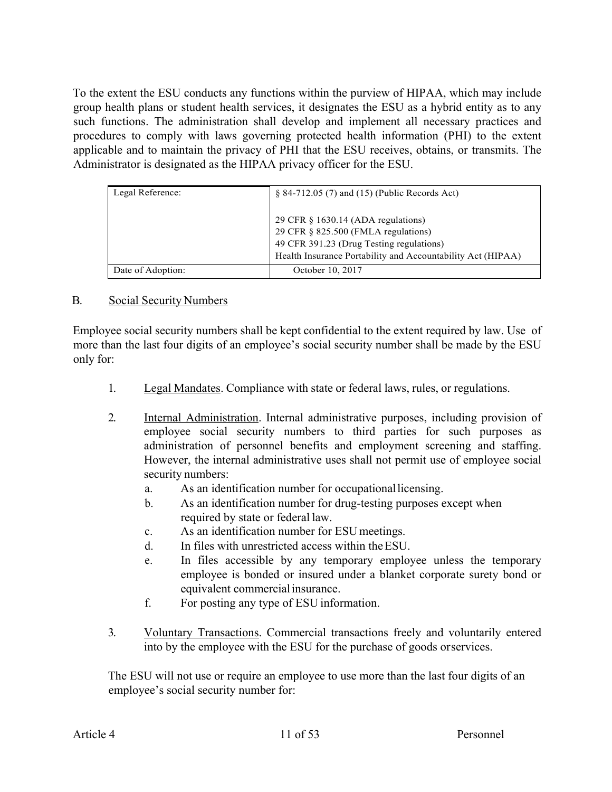To the extent the ESU conducts any functions within the purview of HIPAA, which may include group health plans or student health services, it designates the ESU as a hybrid entity as to any such functions. The administration shall develop and implement all necessary practices and procedures to comply with laws governing protected health information (PHI) to the extent applicable and to maintain the privacy of PHI that the ESU receives, obtains, or transmits. The Administrator is designated as the HIPAA privacy officer for the ESU.

| Legal Reference:  | $§ 84-712.05(7)$ and $(15)$ (Public Records Act)                                                                                                                                           |
|-------------------|--------------------------------------------------------------------------------------------------------------------------------------------------------------------------------------------|
|                   | 29 CFR $\S$ 1630.14 (ADA regulations)<br>29 CFR $\&$ 825.500 (FMLA regulations)<br>49 CFR 391.23 (Drug Testing regulations)<br>Health Insurance Portability and Accountability Act (HIPAA) |
| Date of Adoption: | October 10, 2017                                                                                                                                                                           |

### B. Social Security Numbers

Employee social security numbers shall be kept confidential to the extent required by law. Use of more than the last four digits of an employee's social security number shall be made by the ESU only for:

- 1. Legal Mandates. Compliance with state or federal laws, rules, or regulations.
- 2. Internal Administration. Internal administrative purposes, including provision of employee social security numbers to third parties for such purposes as administration of personnel benefits and employment screening and staffing. However, the internal administrative uses shall not permit use of employee social security numbers:
	- a. As an identification number for occupationallicensing.
	- b. As an identification number for drug-testing purposes except when required by state or federal law.
	- c. As an identification number for ESUmeetings.
	- d. In files with unrestricted access within theESU.
	- e. In files accessible by any temporary employee unless the temporary employee is bonded or insured under a blanket corporate surety bond or equivalent commercialinsurance.
	- f. For posting any type of ESU information.
- 3. Voluntary Transactions. Commercial transactions freely and voluntarily entered into by the employee with the ESU for the purchase of goods orservices.

The ESU will not use or require an employee to use more than the last four digits of an employee's social security number for: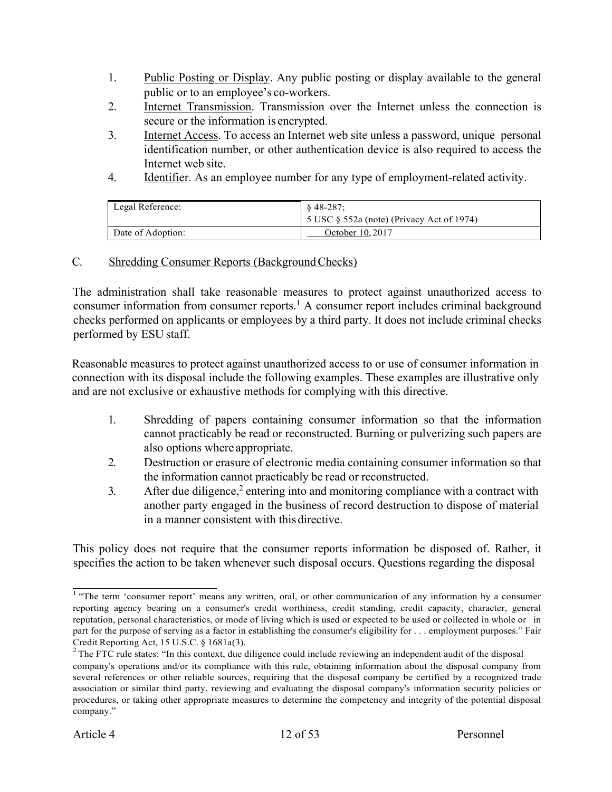- 1. Public Posting or Display. Any public posting or display available to the general public or to an employee's co-workers.
- 2. Internet Transmission. Transmission over the Internet unless the connection is secure or the information is encrypted.
- 3. Internet Access. To access an Internet web site unless a password, unique personal identification number, or other authentication device is also required to access the Internet web site.
- 4. Identifier. As an employee number for any type of employment-related activity.

| Legal Reference:  | $$48-287:$<br>5 USC $\S$ 552a (note) (Privacy Act of 1974) |
|-------------------|------------------------------------------------------------|
| Date of Adoption: | October 10, 2017                                           |

### C. Shredding Consumer Reports (Background Checks)

The administration shall take reasonable measures to protect against unauthorized access to consumer information from consumer reports.<sup>1</sup> A consumer report includes criminal background checks performed on applicants or employees by a third party. It does not include criminal checks performed by ESU staff.

Reasonable measures to protect against unauthorized access to or use of consumer information in connection with its disposal include the following examples. These examples are illustrative only and are not exclusive or exhaustive methods for complying with this directive.

- 1. Shredding of papers containing consumer information so that the information cannot practicably be read or reconstructed. Burning or pulverizing such papers are also options where appropriate.
- 2. Destruction or erasure of electronic media containing consumer information so that the information cannot practicably be read or reconstructed.
- $3.$  After due diligence,<sup>2</sup> entering into and monitoring compliance with a contract with another party engaged in the business of record destruction to dispose of material in a manner consistent with this directive.

This policy does not require that the consumer reports information be disposed of. Rather, it specifies the action to be taken whenever such disposal occurs. Questions regarding the disposal

<sup>&</sup>lt;sup>1</sup> "The term 'consumer report' means any written, oral, or other communication of any information by a consumer reporting agency bearing on a consumer's credit worthiness, credit standing, credit capacity, character, general reputation, personal characteristics, or mode of living which is used or expected to be used or collected in whole or in part for the purpose of serving as a factor in establishing the consumer's eligibility for . . . employment purposes." Fair Credit Reporting Act, 15 U.S.C. § 1681a(3).<br><sup>2</sup> The FTC rule states: "In this context, due diligence could include reviewing an independent audit of the disposal

company's operations and/or its compliance with this rule, obtaining information about the disposal company from several references or other reliable sources, requiring that the disposal company be certified by a recognized trade association or similar third party, reviewing and evaluating the disposal company's information security policies or procedures, or taking other appropriate measures to determine the competency and integrity of the potential disposal company."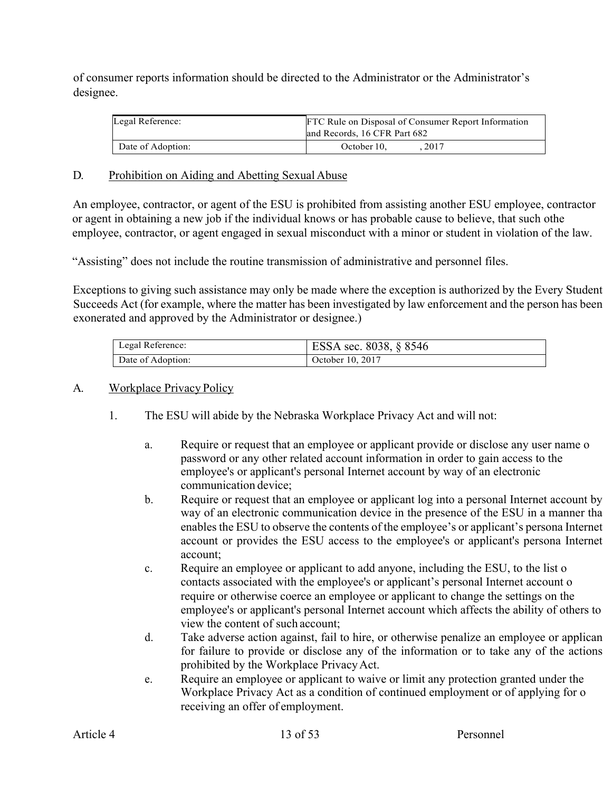of consumer reports information should be directed to the Administrator or the Administrator's designee.

| Legal Reference:  | FTC Rule on Disposal of Consumer Report Information<br>and Records, 16 CFR Part 682 |
|-------------------|-------------------------------------------------------------------------------------|
| Date of Adoption: | 2017<br>October 10.                                                                 |

### D. Prohibition on Aiding and Abetting Sexual Abuse

An employee, contractor, or agent of the ESU is prohibited from assisting another ESU employee, contractor or agent in obtaining a new job if the individual knows or has probable cause to believe, that such othe employee, contractor, or agent engaged in sexual misconduct with a minor or student in violation of the law.

"Assisting" does not include the routine transmission of administrative and personnel files.

Exceptions to giving such assistance may only be made where the exception is authorized by the Every Student Succeeds Act (for example, where the matter has been investigated by law enforcement and the person has been exonerated and approved by the Administrator or designee.)

| Legal Reference:  | ESSA sec. 8038, § 8546 |
|-------------------|------------------------|
| Date of Adoption: | October 10, 2017       |

### A. Workplace Privacy Policy

- 1. The ESU will abide by the Nebraska Workplace Privacy Act and will not:
	- a. Require or request that an employee or applicant provide or disclose any user name o password or any other related account information in order to gain access to the employee's or applicant's personal Internet account by way of an electronic communication device;
	- b. Require or request that an employee or applicant log into a personal Internet account by way of an electronic communication device in the presence of the ESU in a manner tha enables the ESU to observe the contents of the employee's or applicant's persona Internet account or provides the ESU access to the employee's or applicant's persona Internet account;
	- c. Require an employee or applicant to add anyone, including the ESU, to the list o contacts associated with the employee's or applicant's personal Internet account o require or otherwise coerce an employee or applicant to change the settings on the employee's or applicant's personal Internet account which affects the ability of others to view the content of such account;
	- d. Take adverse action against, fail to hire, or otherwise penalize an employee or applican for failure to provide or disclose any of the information or to take any of the actions prohibited by the Workplace PrivacyAct.
	- e. Require an employee or applicant to waive or limit any protection granted under the Workplace Privacy Act as a condition of continued employment or of applying for o receiving an offer of employment.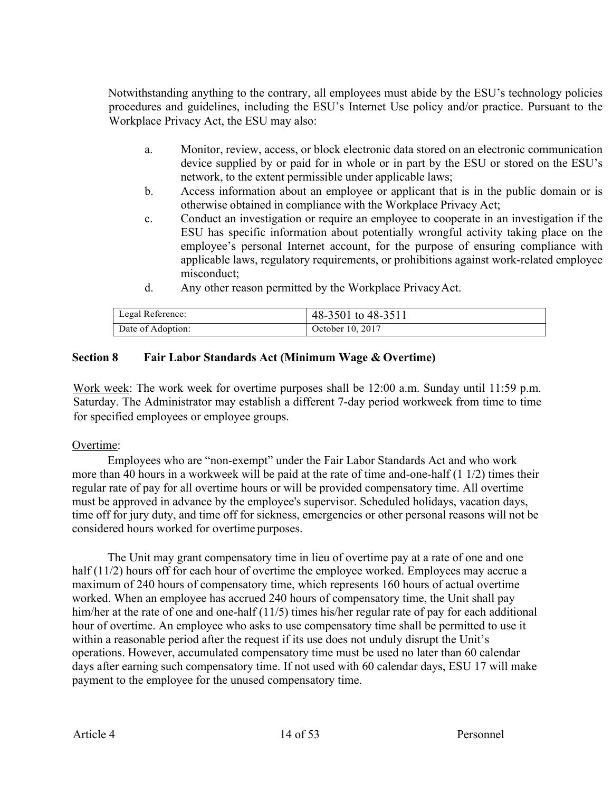Notwithstanding anything to the contrary, all employees must abide by the ESU's technology policies procedures and guidelines, including the ESU's Internet Use policy and/or practice. Pursuant to the Workplace Privacy Act, the ESU may also:

- a. Monitor, review, access, or block electronic data stored on an electronic communication device supplied by or paid for in whole or in part by the ESU or stored on the ESU's network, to the extent permissible under applicable laws;
- b. Access information about an employee or applicant that is in the public domain or is otherwise obtained in compliance with the Workplace Privacy Act;
- c. Conduct an investigation or require an employee to cooperate in an investigation if the ESU has specific information about potentially wrongful activity taking place on the employee's personal Internet account, for the purpose of ensuring compliance with applicable laws, regulatory requirements, or prohibitions against work-related employee misconduct;
- d. Any other reason permitted by the Workplace PrivacyAct.

| Legal Reference:  | 48-3501 to 48-3511 |
|-------------------|--------------------|
| Date of Adoption: | October 10, 2017   |

### **Section 8 Fair Labor Standards Act (Minimum Wage & Overtime)**

Work week: The work week for overtime purposes shall be 12:00 a.m. Sunday until 11:59 p.m. Saturday. The Administrator may establish a different 7-day period workweek from time to time for specified employees or employee groups.

#### Overtime:

Employees who are "non-exempt" under the Fair Labor Standards Act and who work more than 40 hours in a workweek will be paid at the rate of time and-one-half (1 1/2) times their regular rate of pay for all overtime hours or will be provided compensatory time. All overtime must be approved in advance by the employee's supervisor. Scheduled holidays, vacation days, time off for jury duty, and time off for sickness, emergencies or other personal reasons will not be considered hours worked for overtime purposes.

The Unit may grant compensatory time in lieu of overtime pay at a rate of one and one half  $(11/2)$  hours off for each hour of overtime the employee worked. Employees may accrue a maximum of 240 hours of compensatory time, which represents 160 hours of actual overtime worked. When an employee has accrued 240 hours of compensatory time, the Unit shall pay him/her at the rate of one and one-half (11/5) times his/her regular rate of pay for each additional hour of overtime. An employee who asks to use compensatory time shall be permitted to use it within a reasonable period after the request if its use does not unduly disrupt the Unit's operations. However, accumulated compensatory time must be used no later than 60 calendar days after earning such compensatory time. If not used with 60 calendar days, ESU 17 will make payment to the employee for the unused compensatory time.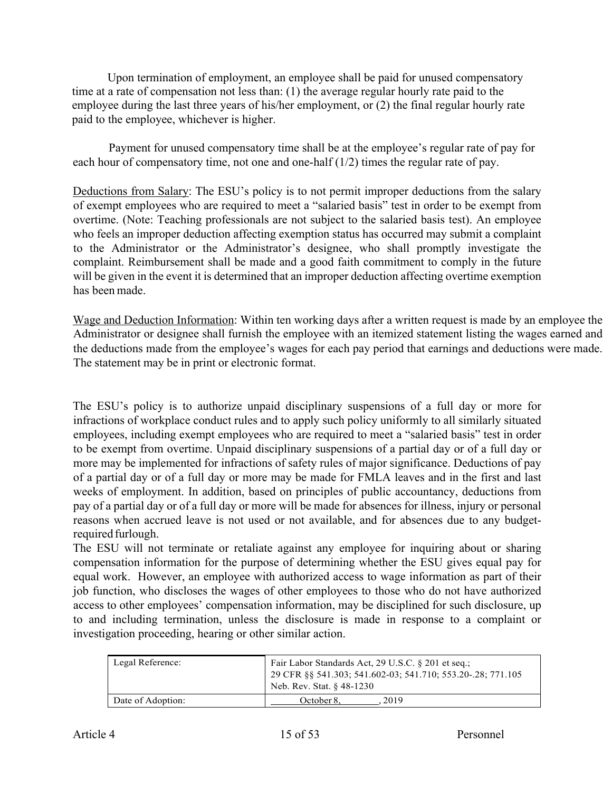Upon termination of employment, an employee shall be paid for unused compensatory time at a rate of compensation not less than: (1) the average regular hourly rate paid to the employee during the last three years of his/her employment, or (2) the final regular hourly rate paid to the employee, whichever is higher.

Payment for unused compensatory time shall be at the employee's regular rate of pay for each hour of compensatory time, not one and one-half (1/2) times the regular rate of pay.

Deductions from Salary: The ESU's policy is to not permit improper deductions from the salary of exempt employees who are required to meet a "salaried basis" test in order to be exempt from overtime. (Note: Teaching professionals are not subject to the salaried basis test). An employee who feels an improper deduction affecting exemption status has occurred may submit a complaint to the Administrator or the Administrator's designee, who shall promptly investigate the complaint. Reimbursement shall be made and a good faith commitment to comply in the future will be given in the event it is determined that an improper deduction affecting overtime exemption has been made.

Wage and Deduction Information: Within ten working days after a written request is made by an employee the Administrator or designee shall furnish the employee with an itemized statement listing the wages earned and the deductions made from the employee's wages for each pay period that earnings and deductions were made. The statement may be in print or electronic format.

The ESU's policy is to authorize unpaid disciplinary suspensions of a full day or more for infractions of workplace conduct rules and to apply such policy uniformly to all similarly situated employees, including exempt employees who are required to meet a "salaried basis" test in order to be exempt from overtime. Unpaid disciplinary suspensions of a partial day or of a full day or more may be implemented for infractions of safety rules of major significance. Deductions of pay of a partial day or of a full day or more may be made for FMLA leaves and in the first and last weeks of employment. In addition, based on principles of public accountancy, deductions from pay of a partial day or of a full day or more will be made for absences for illness, injury or personal reasons when accrued leave is not used or not available, and for absences due to any budgetrequired furlough.

The ESU will not terminate or retaliate against any employee for inquiring about or sharing compensation information for the purpose of determining whether the ESU gives equal pay for equal work. However, an employee with authorized access to wage information as part of their job function, who discloses the wages of other employees to those who do not have authorized access to other employees' compensation information, may be disciplined for such disclosure, up to and including termination, unless the disclosure is made in response to a complaint or investigation proceeding, hearing or other similar action.

| Legal Reference:  | Fair Labor Standards Act, 29 U.S.C. § 201 et seq.;<br>29 CFR §§ 541.303; 541.602-03; 541.710; 553.20-.28; 771.105<br>Neb. Rev. Stat. § 48-1230 |
|-------------------|------------------------------------------------------------------------------------------------------------------------------------------------|
| Date of Adoption: | October 8.<br>2019                                                                                                                             |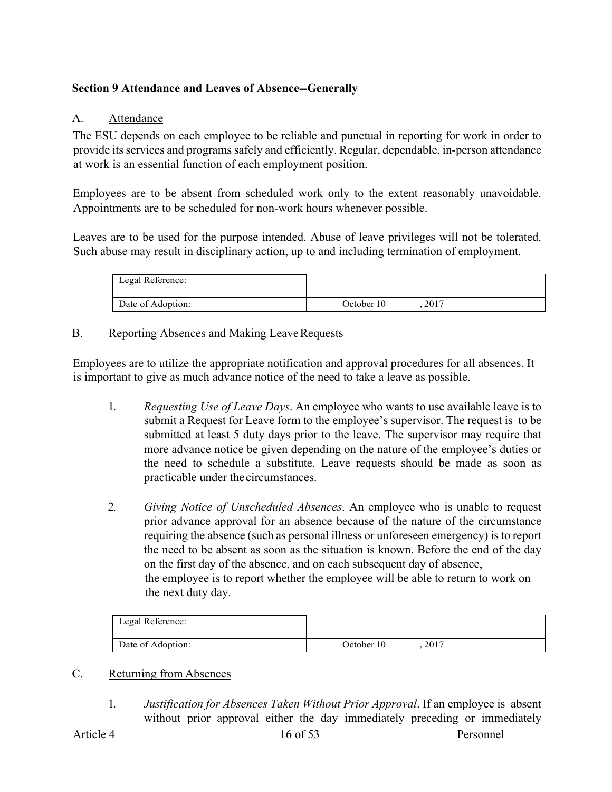# **Section 9 Attendance and Leaves of Absence--Generally**

### A. Attendance

The ESU depends on each employee to be reliable and punctual in reporting for work in order to provide its services and programs safely and efficiently. Regular, dependable, in-person attendance at work is an essential function of each employment position.

Employees are to be absent from scheduled work only to the extent reasonably unavoidable. Appointments are to be scheduled for non-work hours whenever possible.

Leaves are to be used for the purpose intended. Abuse of leave privileges will not be tolerated. Such abuse may result in disciplinary action, up to and including termination of employment.

| Legal Reference:  |            |      |  |
|-------------------|------------|------|--|
| Date of Adoption: | October 10 | 2017 |  |

### B. Reporting Absences and Making Leave Requests

Employees are to utilize the appropriate notification and approval procedures for all absences. It is important to give as much advance notice of the need to take a leave as possible.

- 1. *Requesting Use of Leave Days*. An employee who wants to use available leave is to submit a Request for Leave form to the employee's supervisor. The request is to be submitted at least 5 duty days prior to the leave. The supervisor may require that more advance notice be given depending on the nature of the employee's duties or the need to schedule a substitute. Leave requests should be made as soon as practicable under the circumstances.
- 2. *Giving Notice of Unscheduled Absences*. An employee who is unable to request prior advance approval for an absence because of the nature of the circumstance requiring the absence (such as personal illness or unforeseen emergency) is to report the need to be absent as soon as the situation is known. Before the end of the day on the first day of the absence, and on each subsequent day of absence, the employee is to report whether the employee will be able to return to work on the next duty day.

| Legal Reference:  |            |      |  |
|-------------------|------------|------|--|
| Date of Adoption: | October 10 | 2017 |  |

# C. Returning from Absences

1. *Justification for Absences Taken Without Prior Approval*. If an employee is absent without prior approval either the day immediately preceding or immediately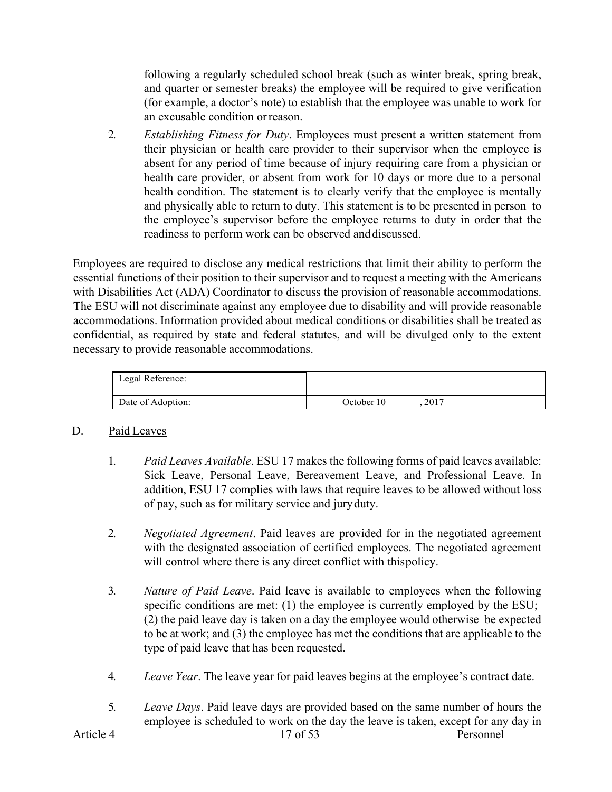following a regularly scheduled school break (such as winter break, spring break, and quarter or semester breaks) the employee will be required to give verification (for example, a doctor's note) to establish that the employee was unable to work for an excusable condition orreason.

2. *Establishing Fitness for Duty*. Employees must present a written statement from their physician or health care provider to their supervisor when the employee is absent for any period of time because of injury requiring care from a physician or health care provider, or absent from work for 10 days or more due to a personal health condition. The statement is to clearly verify that the employee is mentally and physically able to return to duty. This statement is to be presented in person to the employee's supervisor before the employee returns to duty in order that the readiness to perform work can be observed anddiscussed.

Employees are required to disclose any medical restrictions that limit their ability to perform the essential functions of their position to their supervisor and to request a meeting with the Americans with Disabilities Act (ADA) Coordinator to discuss the provision of reasonable accommodations. The ESU will not discriminate against any employee due to disability and will provide reasonable accommodations. Information provided about medical conditions or disabilities shall be treated as confidential, as required by state and federal statutes, and will be divulged only to the extent necessary to provide reasonable accommodations.

| Legal Reference:  |            |        |  |
|-------------------|------------|--------|--|
| Date of Adoption: | October 10 | . 2017 |  |

### D. Paid Leaves

- 1. *Paid Leaves Available*. ESU 17 makes the following forms of paid leaves available: Sick Leave, Personal Leave, Bereavement Leave, and Professional Leave. In addition, ESU 17 complies with laws that require leaves to be allowed without loss of pay, such as for military service and juryduty.
- 2. *Negotiated Agreement*. Paid leaves are provided for in the negotiated agreement with the designated association of certified employees. The negotiated agreement will control where there is any direct conflict with thispolicy.
- 3. *Nature of Paid Leave*. Paid leave is available to employees when the following specific conditions are met: (1) the employee is currently employed by the ESU; (2) the paid leave day is taken on a day the employee would otherwise be expected to be at work; and (3) the employee has met the conditions that are applicable to the type of paid leave that has been requested.
- 4. *Leave Year*. The leave year for paid leaves begins at the employee's contract date.
- Article 4 2012 17 of 53 5. *Leave Days*. Paid leave days are provided based on the same number of hours the employee is scheduled to work on the day the leave is taken, except for any day in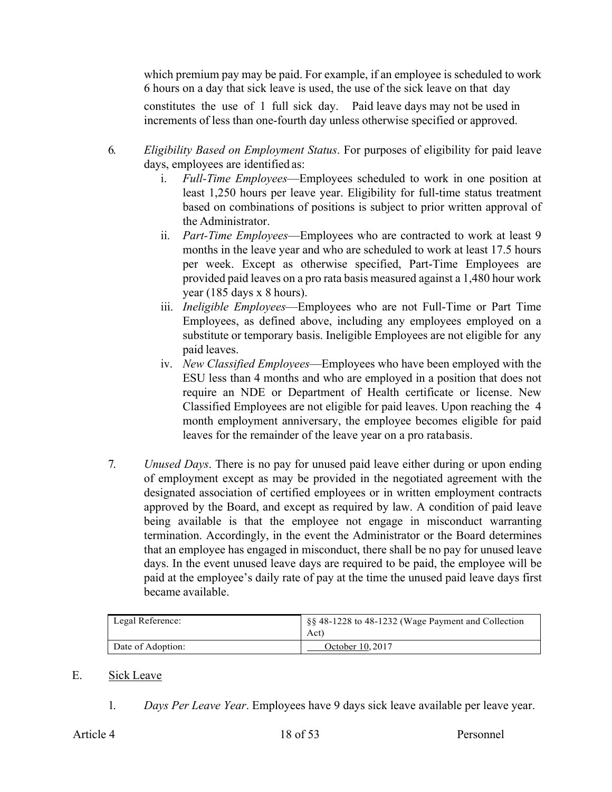which premium pay may be paid. For example, if an employee is scheduled to work 6 hours on a day that sick leave is used, the use of the sick leave on that day constitutes the use of 1 full sick day. Paid leave days may not be used in increments of less than one-fourth day unless otherwise specified or approved.

- 6. *Eligibility Based on Employment Status*. For purposes of eligibility for paid leave days, employees are identified as:
	- i. *Full-Time Employees*—Employees scheduled to work in one position at least 1,250 hours per leave year. Eligibility for full-time status treatment based on combinations of positions is subject to prior written approval of the Administrator.
	- ii. *Part-Time Employees*—Employees who are contracted to work at least 9 months in the leave year and who are scheduled to work at least 17.5 hours per week. Except as otherwise specified, Part-Time Employees are provided paid leaves on a pro rata basis measured against a 1,480 hour work year (185 days x 8 hours).
	- iii. *Ineligible Employees*—Employees who are not Full-Time or Part Time Employees, as defined above, including any employees employed on a substitute or temporary basis. Ineligible Employees are not eligible for any paid leaves.
	- iv. *New Classified Employees*—Employees who have been employed with the ESU less than 4 months and who are employed in a position that does not require an NDE or Department of Health certificate or license. New Classified Employees are not eligible for paid leaves. Upon reaching the 4 month employment anniversary, the employee becomes eligible for paid leaves for the remainder of the leave year on a pro ratabasis.
- 7. *Unused Days*. There is no pay for unused paid leave either during or upon ending of employment except as may be provided in the negotiated agreement with the designated association of certified employees or in written employment contracts approved by the Board, and except as required by law. A condition of paid leave being available is that the employee not engage in misconduct warranting termination. Accordingly, in the event the Administrator or the Board determines that an employee has engaged in misconduct, there shall be no pay for unused leave days. In the event unused leave days are required to be paid, the employee will be paid at the employee's daily rate of pay at the time the unused paid leave days first became available.

| Legal Reference:  | §§ 48-1228 to 48-1232 (Wage Payment and Collection<br>Act) |
|-------------------|------------------------------------------------------------|
| Date of Adoption: | October 10, 2017                                           |

#### E. Sick Leave

1. *Days Per Leave Year*. Employees have 9 days sick leave available per leave year.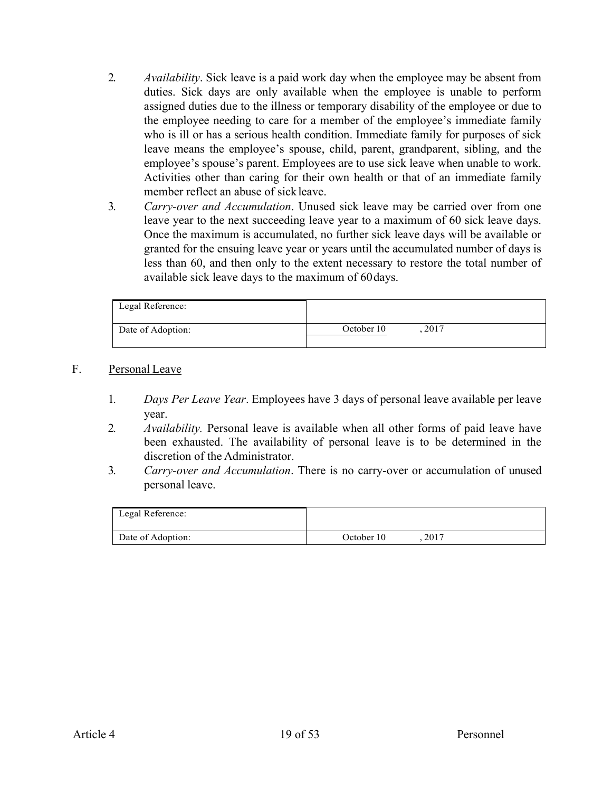- 2. *Availability*. Sick leave is a paid work day when the employee may be absent from duties. Sick days are only available when the employee is unable to perform assigned duties due to the illness or temporary disability of the employee or due to the employee needing to care for a member of the employee's immediate family who is ill or has a serious health condition. Immediate family for purposes of sick leave means the employee's spouse, child, parent, grandparent, sibling, and the employee's spouse's parent. Employees are to use sick leave when unable to work. Activities other than caring for their own health or that of an immediate family member reflect an abuse of sickleave.
- 3. *Carry-over and Accumulation*. Unused sick leave may be carried over from one leave year to the next succeeding leave year to a maximum of 60 sick leave days. Once the maximum is accumulated, no further sick leave days will be available or granted for the ensuing leave year or years until the accumulated number of days is less than 60, and then only to the extent necessary to restore the total number of available sick leave days to the maximum of 60days.

| Legal Reference:  |                    |
|-------------------|--------------------|
| Date of Adoption: | October 10<br>2017 |

### F. Personal Leave

- 1. *Days Per Leave Year*. Employees have 3 days of personal leave available per leave year.
- 2. *Availability.* Personal leave is available when all other forms of paid leave have been exhausted. The availability of personal leave is to be determined in the discretion of the Administrator.
- 3. *Carry-over and Accumulation*. There is no carry-over or accumulation of unused personal leave.

| Legal Reference:  |                    |
|-------------------|--------------------|
| Date of Adoption: | 2017<br>October 10 |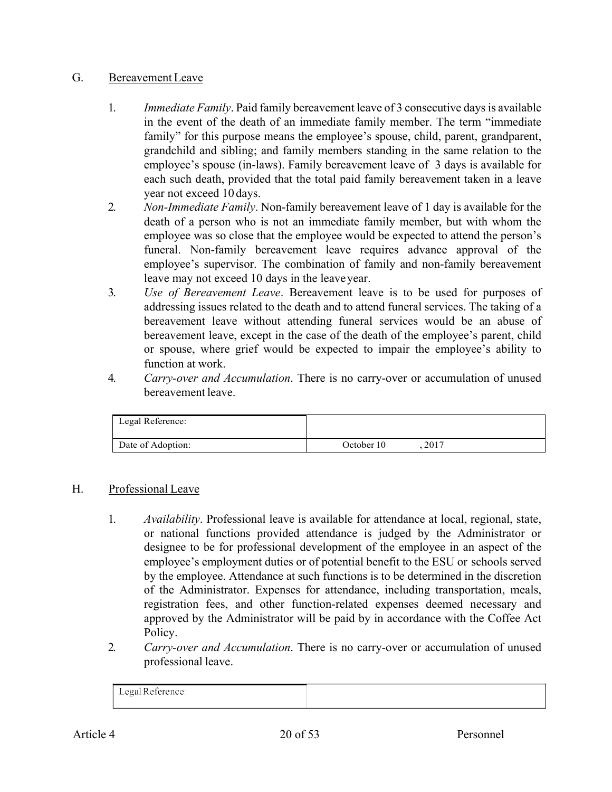### G. Bereavement Leave

- 1. *Immediate Family*. Paid family bereavement leave of 3 consecutive days is available in the event of the death of an immediate family member. The term "immediate family" for this purpose means the employee's spouse, child, parent, grandparent, grandchild and sibling; and family members standing in the same relation to the employee's spouse (in-laws). Family bereavement leave of 3 days is available for each such death, provided that the total paid family bereavement taken in a leave year not exceed 10 days.
- 2. *Non-Immediate Family*. Non-family bereavement leave of 1 day is available for the death of a person who is not an immediate family member, but with whom the employee was so close that the employee would be expected to attend the person's funeral. Non-family bereavement leave requires advance approval of the employee's supervisor. The combination of family and non-family bereavement leave may not exceed 10 days in the leaveyear.
- 3. *Use of Bereavement Leave*. Bereavement leave is to be used for purposes of addressing issues related to the death and to attend funeral services. The taking of a bereavement leave without attending funeral services would be an abuse of bereavement leave, except in the case of the death of the employee's parent, child or spouse, where grief would be expected to impair the employee's ability to function at work.
- 4. *Carry-over and Accumulation*. There is no carry-over or accumulation of unused bereavement leave.

| Legal Reference:  |            |      |  |
|-------------------|------------|------|--|
| Date of Adoption: | October 10 | 2017 |  |

### H. Professional Leave

- 1. *Availability*. Professional leave is available for attendance at local, regional, state, or national functions provided attendance is judged by the Administrator or designee to be for professional development of the employee in an aspect of the employee's employment duties or of potential benefit to the ESU or schools served by the employee. Attendance at such functions is to be determined in the discretion of the Administrator. Expenses for attendance, including transportation, meals, registration fees, and other function-related expenses deemed necessary and approved by the Administrator will be paid by in accordance with the Coffee Act Policy.
- 2. *Carry-over and Accumulation*. There is no carry-over or accumulation of unused professional leave.

| $\sqrt{1}$<br>Legal Reference: |  |
|--------------------------------|--|
|                                |  |
|                                |  |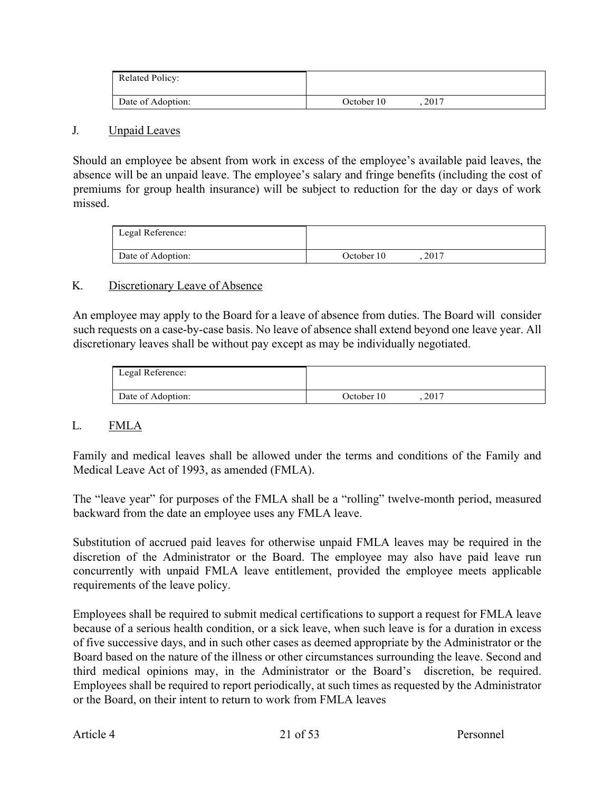| <b>Related Policy:</b> |                    |
|------------------------|--------------------|
| Date of Adoption:      | 2017<br>October 10 |

#### J. Unpaid Leaves

Should an employee be absent from work in excess of the employee's available paid leaves, the absence will be an unpaid leave. The employee's salary and fringe benefits (including the cost of premiums for group health insurance) will be subject to reduction for the day or days of work missed.

| Legal Reference:  |            |      |  |
|-------------------|------------|------|--|
| Date of Adoption: | October 10 | 2017 |  |

#### K. Discretionary Leave of Absence

An employee may apply to the Board for a leave of absence from duties. The Board will consider such requests on a case-by-case basis. No leave of absence shall extend beyond one leave year. All discretionary leaves shall be without pay except as may be individually negotiated.

| Legal Reference:  |                    |
|-------------------|--------------------|
| Date of Adoption: | 2017<br>October 10 |

### L. FMLA

Family and medical leaves shall be allowed under the terms and conditions of the Family and Medical Leave Act of 1993, as amended (FMLA).

The "leave year" for purposes of the FMLA shall be a "rolling" twelve-month period, measured backward from the date an employee uses any FMLA leave.

Substitution of accrued paid leaves for otherwise unpaid FMLA leaves may be required in the discretion of the Administrator or the Board. The employee may also have paid leave run concurrently with unpaid FMLA leave entitlement, provided the employee meets applicable requirements of the leave policy.

Employees shall be required to submit medical certifications to support a request for FMLA leave because of a serious health condition, or a sick leave, when such leave is for a duration in excess of five successive days, and in such other cases as deemed appropriate by the Administrator or the Board based on the nature of the illness or other circumstances surrounding the leave. Second and third medical opinions may, in the Administrator or the Board's discretion, be required. Employees shall be required to report periodically, at such times as requested by the Administrator or the Board, on their intent to return to work from FMLA leaves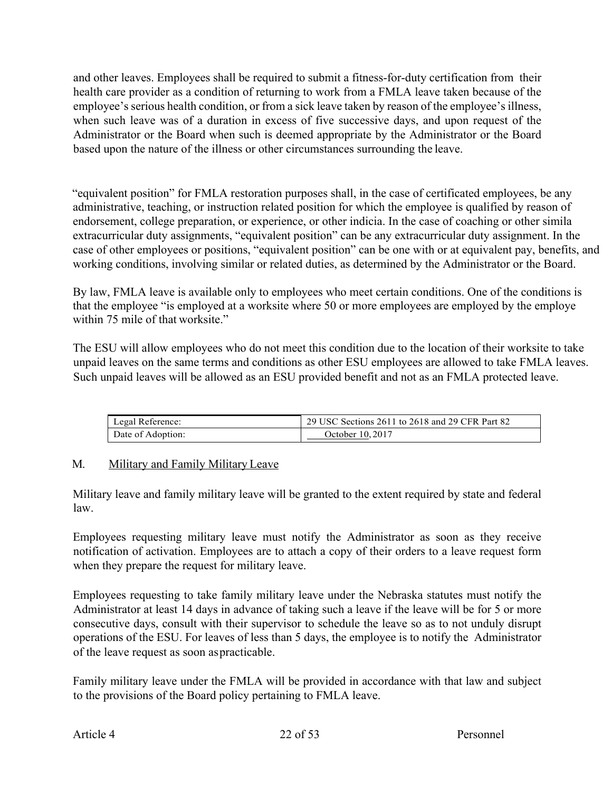and other leaves. Employees shall be required to submit a fitness-for-duty certification from their health care provider as a condition of returning to work from a FMLA leave taken because of the employee's serious health condition, or from a sick leave taken by reason of the employee's illness, when such leave was of a duration in excess of five successive days, and upon request of the Administrator or the Board when such is deemed appropriate by the Administrator or the Board based upon the nature of the illness or other circumstances surrounding the leave.

"equivalent position" for FMLA restoration purposes shall, in the case of certificated employees, be any administrative, teaching, or instruction related position for which the employee is qualified by reason of endorsement, college preparation, or experience, or other indicia. In the case of coaching or other simila extracurricular duty assignments, "equivalent position" can be any extracurricular duty assignment. In the case of other employees or positions, "equivalent position" can be one with or at equivalent pay, benefits, and working conditions, involving similar or related duties, as determined by the Administrator or the Board.

By law, FMLA leave is available only to employees who meet certain conditions. One of the conditions is that the employee "is employed at a worksite where 50 or more employees are employed by the employe within 75 mile of that worksite."

The ESU will allow employees who do not meet this condition due to the location of their worksite to take unpaid leaves on the same terms and conditions as other ESU employees are allowed to take FMLA leaves. Such unpaid leaves will be allowed as an ESU provided benefit and not as an FMLA protected leave.

| Legal Reference:  | 29 USC Sections 2611 to 2618 and 29 CFR Part 82 |
|-------------------|-------------------------------------------------|
| Date of Adoption: | October 10, 2017                                |

# M. Military and Family Military Leave

Military leave and family military leave will be granted to the extent required by state and federal law.

Employees requesting military leave must notify the Administrator as soon as they receive notification of activation. Employees are to attach a copy of their orders to a leave request form when they prepare the request for military leave.

Employees requesting to take family military leave under the Nebraska statutes must notify the Administrator at least 14 days in advance of taking such a leave if the leave will be for 5 or more consecutive days, consult with their supervisor to schedule the leave so as to not unduly disrupt operations of the ESU. For leaves of less than 5 days, the employee is to notify the Administrator of the leave request as soon aspracticable.

Family military leave under the FMLA will be provided in accordance with that law and subject to the provisions of the Board policy pertaining to FMLA leave.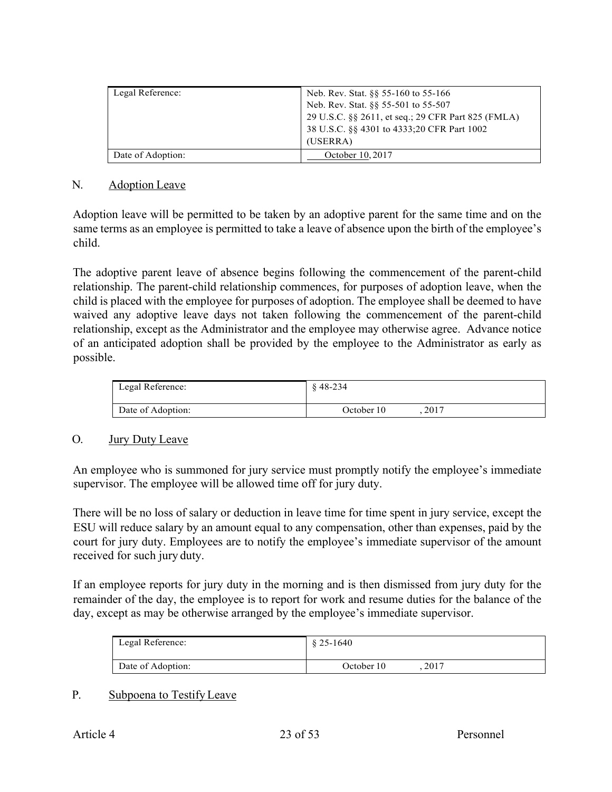| Legal Reference:  | Neb. Rev. Stat. §§ 55-160 to 55-166                |
|-------------------|----------------------------------------------------|
|                   | Neb. Rev. Stat. §§ 55-501 to 55-507                |
|                   | 29 U.S.C. §§ 2611, et seq.; 29 CFR Part 825 (FMLA) |
|                   | 38 U.S.C. §§ 4301 to 4333;20 CFR Part 1002         |
|                   | (USERRA)                                           |
| Date of Adoption: | October 10, 2017                                   |

#### N. Adoption Leave

Adoption leave will be permitted to be taken by an adoptive parent for the same time and on the same terms as an employee is permitted to take a leave of absence upon the birth of the employee's child.

The adoptive parent leave of absence begins following the commencement of the parent-child relationship. The parent-child relationship commences, for purposes of adoption leave, when the child is placed with the employee for purposes of adoption. The employee shall be deemed to have waived any adoptive leave days not taken following the commencement of the parent-child relationship, except as the Administrator and the employee may otherwise agree. Advance notice of an anticipated adoption shall be provided by the employee to the Administrator as early as possible.

| Legal Reference:  | $$48-234$          |
|-------------------|--------------------|
| Date of Adoption: | 2017<br>October 10 |

### O. Jury Duty Leave

An employee who is summoned for jury service must promptly notify the employee's immediate supervisor. The employee will be allowed time off for jury duty.

There will be no loss of salary or deduction in leave time for time spent in jury service, except the ESU will reduce salary by an amount equal to any compensation, other than expenses, paid by the court for jury duty. Employees are to notify the employee's immediate supervisor of the amount received for such jury duty.

If an employee reports for jury duty in the morning and is then dismissed from jury duty for the remainder of the day, the employee is to report for work and resume duties for the balance of the day, except as may be otherwise arranged by the employee's immediate supervisor.

| Legal Reference:  | $$25-1640$ |      |
|-------------------|------------|------|
| Date of Adoption: | October 10 | 2017 |

### P. Subpoena to Testify Leave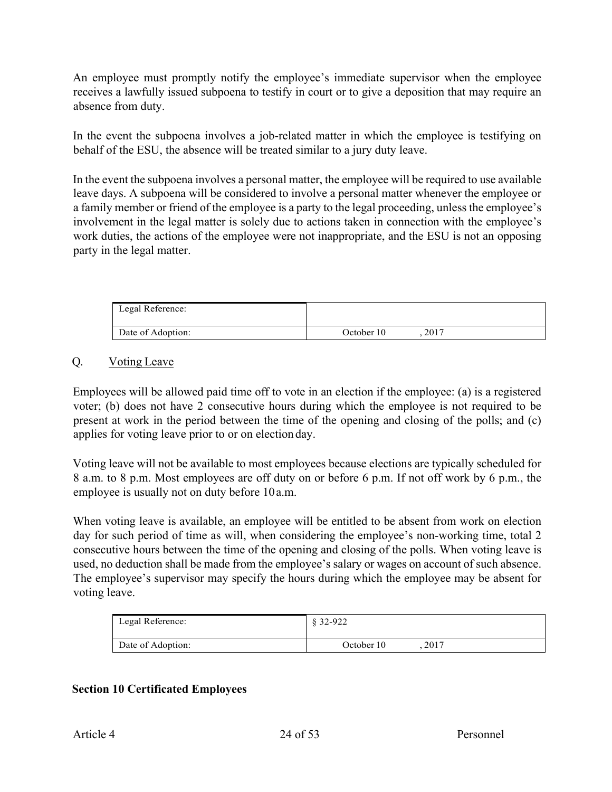An employee must promptly notify the employee's immediate supervisor when the employee receives a lawfully issued subpoena to testify in court or to give a deposition that may require an absence from duty.

In the event the subpoena involves a job-related matter in which the employee is testifying on behalf of the ESU, the absence will be treated similar to a jury duty leave.

In the event the subpoena involves a personal matter, the employee will be required to use available leave days. A subpoena will be considered to involve a personal matter whenever the employee or a family member or friend of the employee is a party to the legal proceeding, unless the employee's involvement in the legal matter is solely due to actions taken in connection with the employee's work duties, the actions of the employee were not inappropriate, and the ESU is not an opposing party in the legal matter.

| Legal Reference:  |            |      |  |
|-------------------|------------|------|--|
| Date of Adoption: | October 10 | 2017 |  |

### Q. Voting Leave

Employees will be allowed paid time off to vote in an election if the employee: (a) is a registered voter; (b) does not have 2 consecutive hours during which the employee is not required to be present at work in the period between the time of the opening and closing of the polls; and (c) applies for voting leave prior to or on election day.

Voting leave will not be available to most employees because elections are typically scheduled for 8 a.m. to 8 p.m. Most employees are off duty on or before 6 p.m. If not off work by 6 p.m., the employee is usually not on duty before 10a.m.

When voting leave is available, an employee will be entitled to be absent from work on election day for such period of time as will, when considering the employee's non-working time, total 2 consecutive hours between the time of the opening and closing of the polls. When voting leave is used, no deduction shall be made from the employee's salary or wages on account of such absence. The employee's supervisor may specify the hours during which the employee may be absent for voting leave.

| Legal Reference:  | $$32-922$          |  |
|-------------------|--------------------|--|
| Date of Adoption: | 2017<br>October 10 |  |

# **Section 10 Certificated Employees**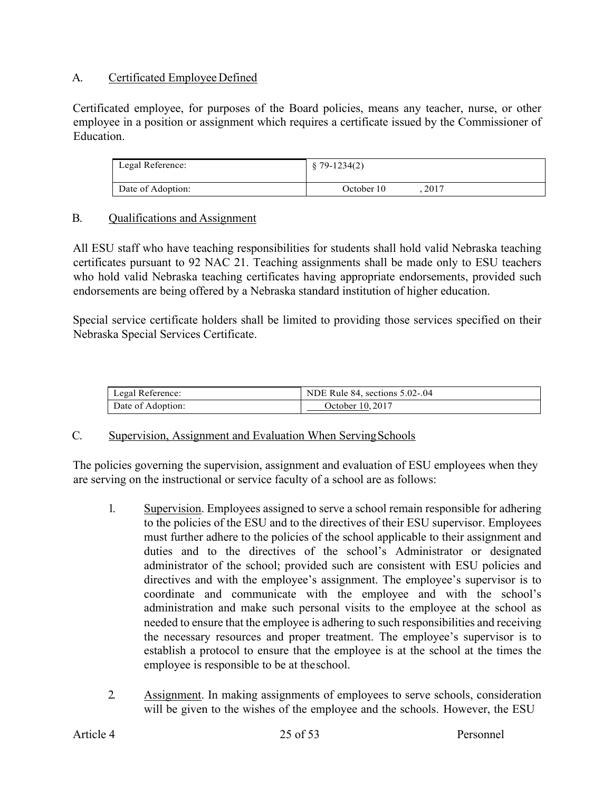### A. Certificated Employee Defined

Certificated employee, for purposes of the Board policies, means any teacher, nurse, or other employee in a position or assignment which requires a certificate issued by the Commissioner of Education.

| Legal Reference:  | $$79-1234(2)$ |      |
|-------------------|---------------|------|
| Date of Adoption: | October 10    | 2017 |

### B. Qualifications and Assignment

All ESU staff who have teaching responsibilities for students shall hold valid Nebraska teaching certificates pursuant to 92 NAC 21. Teaching assignments shall be made only to ESU teachers who hold valid Nebraska teaching certificates having appropriate endorsements, provided such endorsements are being offered by a Nebraska standard institution of higher education.

Special service certificate holders shall be limited to providing those services specified on their Nebraska Special Services Certificate.

| Legal Reference:  | NDE Rule 84, sections 5.02-.04 |
|-------------------|--------------------------------|
| Date of Adoption: | October 10, 2017               |

### C. Supervision, Assignment and Evaluation When ServingSchools

The policies governing the supervision, assignment and evaluation of ESU employees when they are serving on the instructional or service faculty of a school are as follows:

- 1. Supervision. Employees assigned to serve a school remain responsible for adhering to the policies of the ESU and to the directives of their ESU supervisor. Employees must further adhere to the policies of the school applicable to their assignment and duties and to the directives of the school's Administrator or designated administrator of the school; provided such are consistent with ESU policies and directives and with the employee's assignment. The employee's supervisor is to coordinate and communicate with the employee and with the school's administration and make such personal visits to the employee at the school as needed to ensure that the employee is adhering to such responsibilities and receiving the necessary resources and proper treatment. The employee's supervisor is to establish a protocol to ensure that the employee is at the school at the times the employee is responsible to be at theschool.
- 2. Assignment. In making assignments of employees to serve schools, consideration will be given to the wishes of the employee and the schools. However, the ESU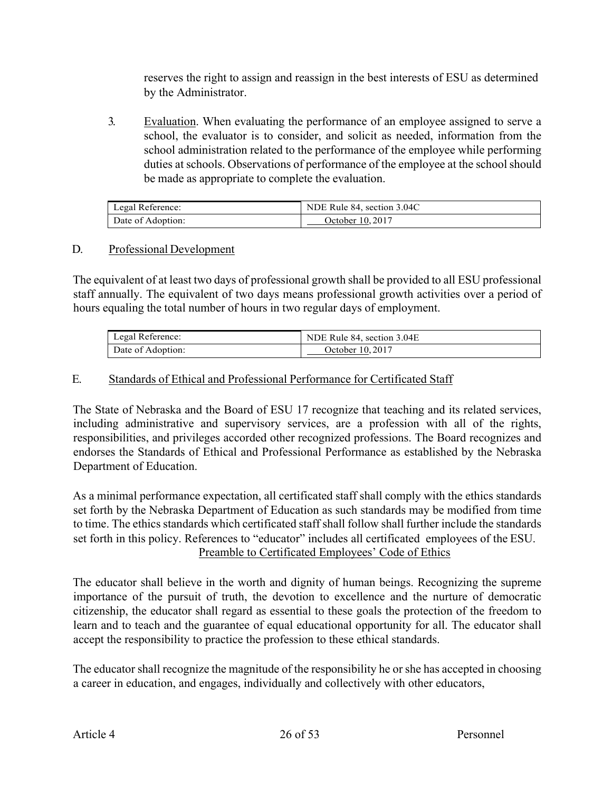reserves the right to assign and reassign in the best interests of ESU as determined by the Administrator.

3. Evaluation. When evaluating the performance of an employee assigned to serve a school, the evaluator is to consider, and solicit as needed, information from the school administration related to the performance of the employee while performing duties at schools. Observations of performance of the employee at the school should be made as appropriate to complete the evaluation.

| Legal Reference:  | NDE Rule 84, section 3.04C |
|-------------------|----------------------------|
| Date of Adoption: | October 10.2017            |

### D. Professional Development

The equivalent of at least two days of professional growth shall be provided to all ESU professional staff annually. The equivalent of two days means professional growth activities over a period of hours equaling the total number of hours in two regular days of employment.

| Legal Reference:  | NDE Rule 84, section 3.04E |
|-------------------|----------------------------|
| Date of Adoption: | October 10, 2017           |

# E. Standards of Ethical and Professional Performance for Certificated Staff

The State of Nebraska and the Board of ESU 17 recognize that teaching and its related services, including administrative and supervisory services, are a profession with all of the rights, responsibilities, and privileges accorded other recognized professions. The Board recognizes and endorses the Standards of Ethical and Professional Performance as established by the Nebraska Department of Education.

As a minimal performance expectation, all certificated staff shall comply with the ethics standards set forth by the Nebraska Department of Education as such standards may be modified from time to time. The ethics standards which certificated staff shall follow shall further include the standards set forth in this policy. References to "educator" includes all certificated employees of the ESU. Preamble to Certificated Employees' Code of Ethics

The educator shall believe in the worth and dignity of human beings. Recognizing the supreme importance of the pursuit of truth, the devotion to excellence and the nurture of democratic citizenship, the educator shall regard as essential to these goals the protection of the freedom to learn and to teach and the guarantee of equal educational opportunity for all. The educator shall accept the responsibility to practice the profession to these ethical standards.

The educator shall recognize the magnitude of the responsibility he or she has accepted in choosing a career in education, and engages, individually and collectively with other educators,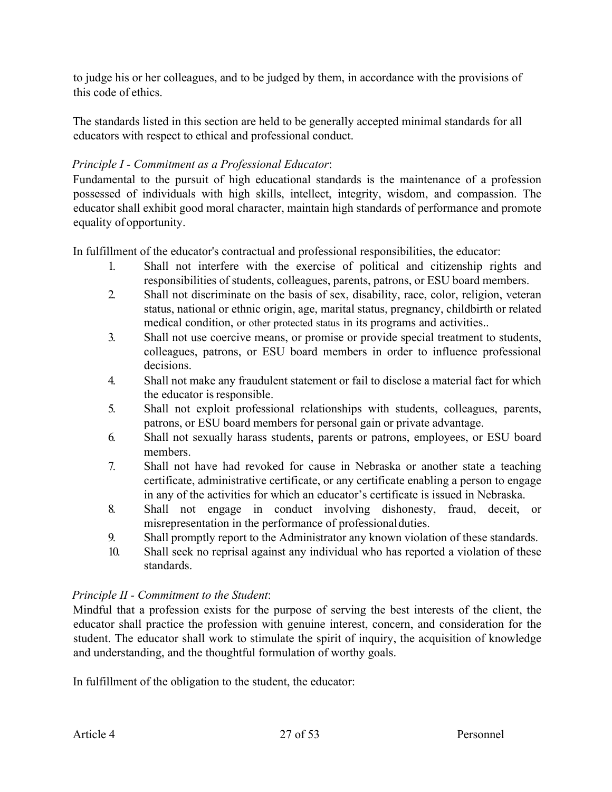to judge his or her colleagues, and to be judged by them, in accordance with the provisions of this code of ethics.

The standards listed in this section are held to be generally accepted minimal standards for all educators with respect to ethical and professional conduct.

# *Principle I - Commitment as a Professional Educator*:

Fundamental to the pursuit of high educational standards is the maintenance of a profession possessed of individuals with high skills, intellect, integrity, wisdom, and compassion. The educator shall exhibit good moral character, maintain high standards of performance and promote equality of opportunity.

In fulfillment of the educator's contractual and professional responsibilities, the educator:

- 1. Shall not interfere with the exercise of political and citizenship rights and responsibilities of students, colleagues, parents, patrons, or ESU board members.
- 2. Shall not discriminate on the basis of sex, disability, race, color, religion, veteran status, national or ethnic origin, age, marital status, pregnancy, childbirth or related medical condition, or other protected status in its programs and activities..
- 3. Shall not use coercive means, or promise or provide special treatment to students, colleagues, patrons, or ESU board members in order to influence professional decisions.
- 4. Shall not make any fraudulent statement or fail to disclose a material fact for which the educator is responsible.
- 5. Shall not exploit professional relationships with students, colleagues, parents, patrons, or ESU board members for personal gain or private advantage.
- 6. Shall not sexually harass students, parents or patrons, employees, or ESU board members.
- 7. Shall not have had revoked for cause in Nebraska or another state a teaching certificate, administrative certificate, or any certificate enabling a person to engage in any of the activities for which an educator's certificate is issued in Nebraska.
- 8. Shall not engage in conduct involving dishonesty, fraud, deceit, or misrepresentation in the performance of professionalduties.
- 9. Shall promptly report to the Administrator any known violation of these standards.
- 10. Shall seek no reprisal against any individual who has reported a violation of these standards.

# *Principle II - Commitment to the Student*:

Mindful that a profession exists for the purpose of serving the best interests of the client, the educator shall practice the profession with genuine interest, concern, and consideration for the student. The educator shall work to stimulate the spirit of inquiry, the acquisition of knowledge and understanding, and the thoughtful formulation of worthy goals.

In fulfillment of the obligation to the student, the educator: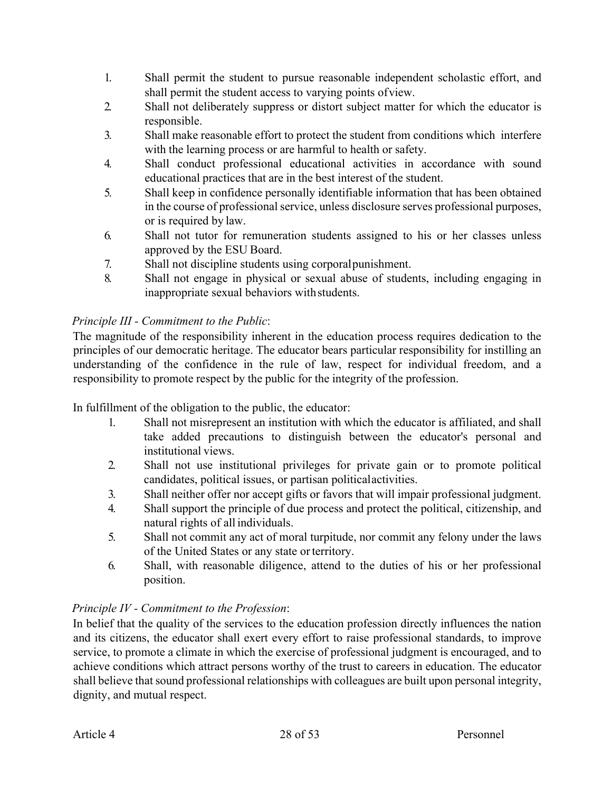- 1. Shall permit the student to pursue reasonable independent scholastic effort, and shall permit the student access to varying points ofview.
- 2. Shall not deliberately suppress or distort subject matter for which the educator is responsible.
- 3. Shall make reasonable effort to protect the student from conditions which interfere with the learning process or are harmful to health or safety.
- 4. Shall conduct professional educational activities in accordance with sound educational practices that are in the best interest of the student.
- 5. Shall keep in confidence personally identifiable information that has been obtained in the course of professional service, unless disclosure serves professional purposes, or is required by law.
- 6. Shall not tutor for remuneration students assigned to his or her classes unless approved by the ESU Board.
- 7. Shall not discipline students using corporalpunishment.
- 8. Shall not engage in physical or sexual abuse of students, including engaging in inappropriate sexual behaviors withstudents.

# *Principle III - Commitment to the Public*:

The magnitude of the responsibility inherent in the education process requires dedication to the principles of our democratic heritage. The educator bears particular responsibility for instilling an understanding of the confidence in the rule of law, respect for individual freedom, and a responsibility to promote respect by the public for the integrity of the profession.

In fulfillment of the obligation to the public, the educator:

- 1. Shall not misrepresent an institution with which the educator is affiliated, and shall take added precautions to distinguish between the educator's personal and institutional views.
- 2. Shall not use institutional privileges for private gain or to promote political candidates, political issues, or partisan politicalactivities.
- 3. Shall neither offer nor accept gifts or favors that will impair professional judgment.
- 4. Shall support the principle of due process and protect the political, citizenship, and natural rights of all individuals.
- 5. Shall not commit any act of moral turpitude, nor commit any felony under the laws of the United States or any state orterritory.
- 6. Shall, with reasonable diligence, attend to the duties of his or her professional position.

# *Principle IV - Commitment to the Profession*:

In belief that the quality of the services to the education profession directly influences the nation and its citizens, the educator shall exert every effort to raise professional standards, to improve service, to promote a climate in which the exercise of professional judgment is encouraged, and to achieve conditions which attract persons worthy of the trust to careers in education. The educator shall believe that sound professional relationships with colleagues are built upon personal integrity, dignity, and mutual respect.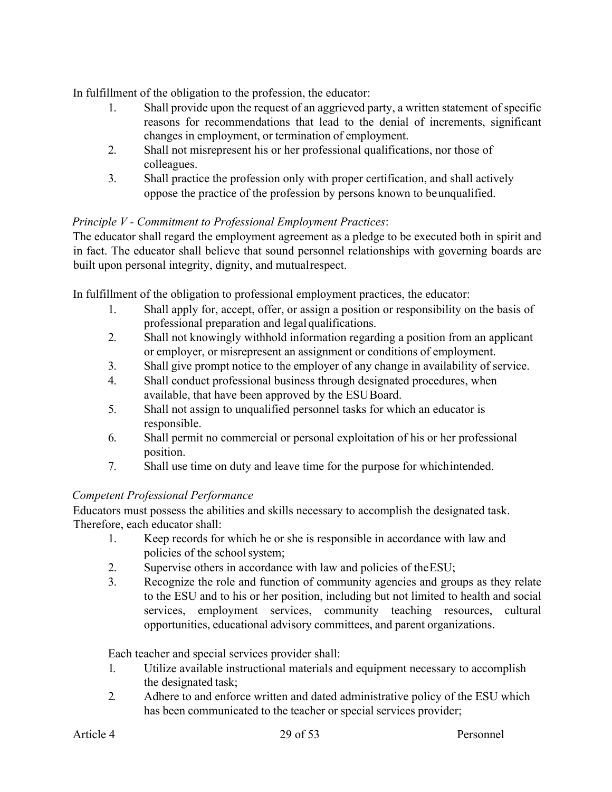In fulfillment of the obligation to the profession, the educator:

- 1. Shall provide upon the request of an aggrieved party, a written statement of specific reasons for recommendations that lead to the denial of increments, significant changes in employment, or termination of employment.
- 2. Shall not misrepresent his or her professional qualifications, nor those of colleagues.
- 3. Shall practice the profession only with proper certification, and shall actively oppose the practice of the profession by persons known to beunqualified.

# *Principle V - Commitment to Professional Employment Practices*:

The educator shall regard the employment agreement as a pledge to be executed both in spirit and in fact. The educator shall believe that sound personnel relationships with governing boards are built upon personal integrity, dignity, and mutualrespect.

In fulfillment of the obligation to professional employment practices, the educator:

- 1. Shall apply for, accept, offer, or assign a position or responsibility on the basis of professional preparation and legalqualifications.
- 2. Shall not knowingly withhold information regarding a position from an applicant or employer, or misrepresent an assignment or conditions of employment.
- 3. Shall give prompt notice to the employer of any change in availability of service.
- 4. Shall conduct professional business through designated procedures, when available, that have been approved by the ESUBoard.
- 5. Shall not assign to unqualified personnel tasks for which an educator is responsible.
- 6. Shall permit no commercial or personal exploitation of his or her professional position.
- 7. Shall use time on duty and leave time for the purpose for whichintended.

# *Competent Professional Performance*

Educators must possess the abilities and skills necessary to accomplish the designated task. Therefore, each educator shall:

- 1. Keep records for which he or she is responsible in accordance with law and policies of the school system;
- 2. Supervise others in accordance with law and policies of theESU;
- 3. Recognize the role and function of community agencies and groups as they relate to the ESU and to his or her position, including but not limited to health and social services, employment services, community teaching resources, cultural opportunities, educational advisory committees, and parent organizations.

Each teacher and special services provider shall:

- 1. Utilize available instructional materials and equipment necessary to accomplish the designated task;
- 2. Adhere to and enforce written and dated administrative policy of the ESU which has been communicated to the teacher or special services provider;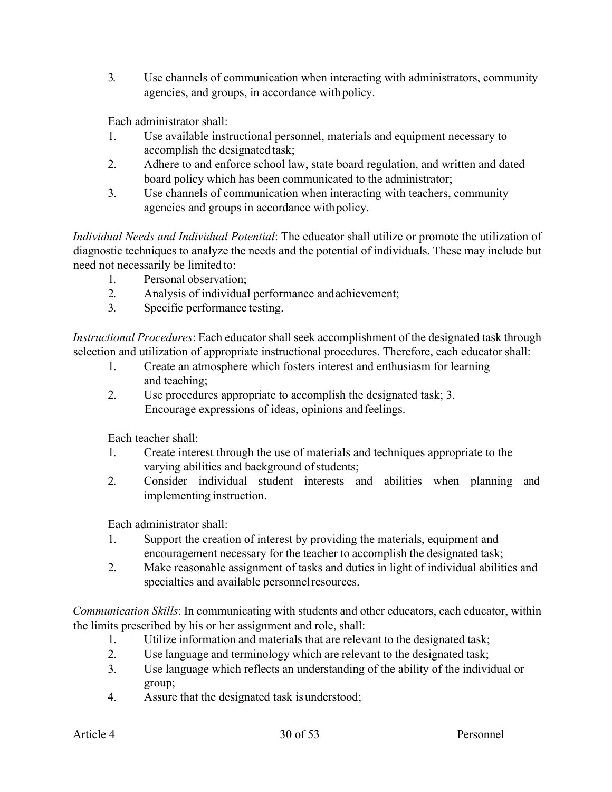3. Use channels of communication when interacting with administrators, community agencies, and groups, in accordance with policy.

Each administrator shall:

- 1. Use available instructional personnel, materials and equipment necessary to accomplish the designated task;
- 2. Adhere to and enforce school law, state board regulation, and written and dated board policy which has been communicated to the administrator;
- 3. Use channels of communication when interacting with teachers, community agencies and groups in accordance with policy.

*Individual Needs and Individual Potential*: The educator shall utilize or promote the utilization of diagnostic techniques to analyze the needs and the potential of individuals. These may include but need not necessarily be limited to:

- 1. Personal observation;
- 2. Analysis of individual performance andachievement;
- 3. Specific performance testing.

*Instructional Procedures*: Each educator shall seek accomplishment of the designated task through selection and utilization of appropriate instructional procedures. Therefore, each educator shall:

- 1. Create an atmosphere which fosters interest and enthusiasm for learning and teaching;
- 2. Use procedures appropriate to accomplish the designated task; 3. Encourage expressions of ideas, opinions andfeelings.

Each teacher shall:

- 1. Create interest through the use of materials and techniques appropriate to the varying abilities and background of students;
- 2. Consider individual student interests and abilities when planning and implementing instruction.

Each administrator shall:

- 1. Support the creation of interest by providing the materials, equipment and encouragement necessary for the teacher to accomplish the designated task;
- 2. Make reasonable assignment of tasks and duties in light of individual abilities and specialties and available personnel resources.

*Communication Skills*: In communicating with students and other educators, each educator, within the limits prescribed by his or her assignment and role, shall:

- 1. Utilize information and materials that are relevant to the designated task;
- 2. Use language and terminology which are relevant to the designated task;
- 3. Use language which reflects an understanding of the ability of the individual or group;
- 4. Assure that the designated task isunderstood;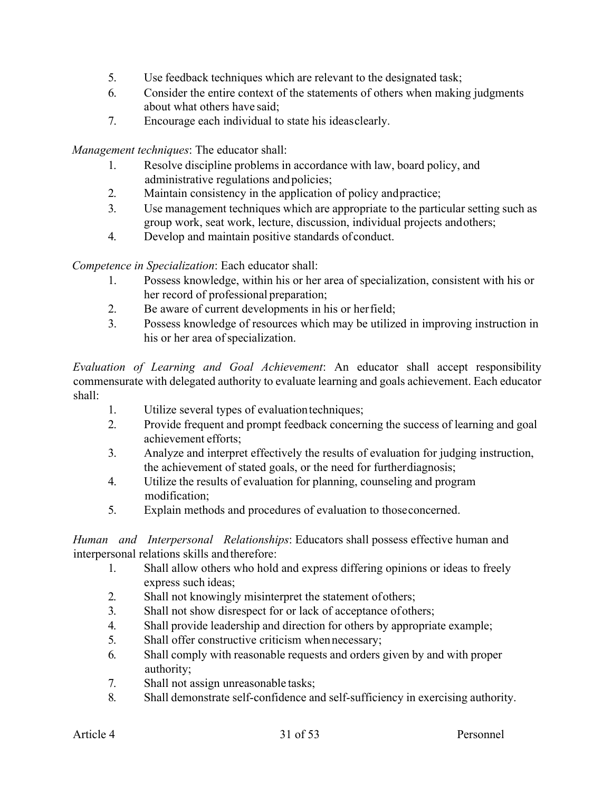- 5. Use feedback techniques which are relevant to the designated task;
- 6. Consider the entire context of the statements of others when making judgments about what others have said;
- 7. Encourage each individual to state his ideasclearly.

*Management techniques*: The educator shall:

- 1. Resolve discipline problems in accordance with law, board policy, and administrative regulations and policies;
- 2. Maintain consistency in the application of policy andpractice;
- 3. Use management techniques which are appropriate to the particular setting such as group work, seat work, lecture, discussion, individual projects andothers;
- 4. Develop and maintain positive standards of conduct.

*Competence in Specialization*: Each educator shall:

- 1. Possess knowledge, within his or her area of specialization, consistent with his or her record of professional preparation;
- 2. Be aware of current developments in his or herfield;
- 3. Possess knowledge of resources which may be utilized in improving instruction in his or her area of specialization.

*Evaluation of Learning and Goal Achievement*: An educator shall accept responsibility commensurate with delegated authority to evaluate learning and goals achievement. Each educator shall:

- 1. Utilize several types of evaluation techniques;
- 2. Provide frequent and prompt feedback concerning the success of learning and goal achievement efforts;
- 3. Analyze and interpret effectively the results of evaluation for judging instruction, the achievement of stated goals, or the need for furtherdiagnosis;
- 4. Utilize the results of evaluation for planning, counseling and program modification;
- 5. Explain methods and procedures of evaluation to thoseconcerned.

*Human and Interpersonal Relationships*: Educators shall possess effective human and interpersonal relations skills and therefore:

- 1. Shall allow others who hold and express differing opinions or ideas to freely express such ideas;
- 2. Shall not knowingly misinterpret the statement ofothers;
- 3. Shall not show disrespect for or lack of acceptance ofothers;
- 4. Shall provide leadership and direction for others by appropriate example;
- 5. Shall offer constructive criticism whennecessary;
- 6. Shall comply with reasonable requests and orders given by and with proper authority;
- 7. Shall not assign unreasonable tasks;
- 8. Shall demonstrate self-confidence and self-sufficiency in exercising authority.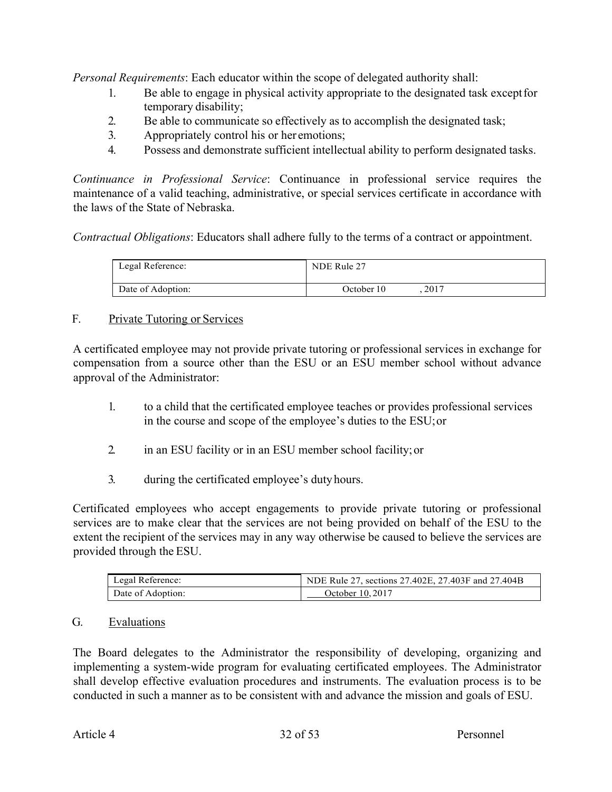*Personal Requirements*: Each educator within the scope of delegated authority shall:

- 1. Be able to engage in physical activity appropriate to the designated task exceptfor temporary disability;
- 2. Be able to communicate so effectively as to accomplish the designated task;
- 3. Appropriately control his or her emotions;
- 4. Possess and demonstrate sufficient intellectual ability to perform designated tasks.

*Continuance in Professional Service*: Continuance in professional service requires the maintenance of a valid teaching, administrative, or special services certificate in accordance with the laws of the State of Nebraska.

*Contractual Obligations*: Educators shall adhere fully to the terms of a contract or appointment.

| Legal Reference:  | NDE Rule 27 |      |  |
|-------------------|-------------|------|--|
| Date of Adoption: | October 10  | 2017 |  |

# F. Private Tutoring or Services

A certificated employee may not provide private tutoring or professional services in exchange for compensation from a source other than the ESU or an ESU member school without advance approval of the Administrator:

- 1. to a child that the certificated employee teaches or provides professional services in the course and scope of the employee's duties to the ESU;or
- 2. in an ESU facility or in an ESU member school facility;or
- 3. during the certificated employee's duty hours.

Certificated employees who accept engagements to provide private tutoring or professional services are to make clear that the services are not being provided on behalf of the ESU to the extent the recipient of the services may in any way otherwise be caused to believe the services are provided through the ESU.

| Legal Reference:  | NDE Rule 27, sections 27.402E, 27.403F and 27.404B |
|-------------------|----------------------------------------------------|
| Date of Adoption: | October 10, 2017                                   |

# G. Evaluations

The Board delegates to the Administrator the responsibility of developing, organizing and implementing a system-wide program for evaluating certificated employees. The Administrator shall develop effective evaluation procedures and instruments. The evaluation process is to be conducted in such a manner as to be consistent with and advance the mission and goals of ESU.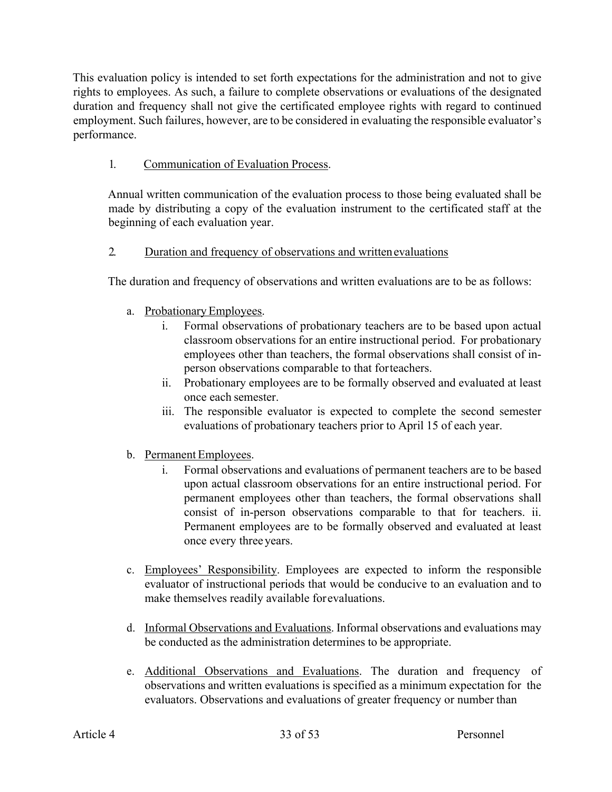This evaluation policy is intended to set forth expectations for the administration and not to give rights to employees. As such, a failure to complete observations or evaluations of the designated duration and frequency shall not give the certificated employee rights with regard to continued employment. Such failures, however, are to be considered in evaluating the responsible evaluator's performance.

# 1. Communication of Evaluation Process.

Annual written communication of the evaluation process to those being evaluated shall be made by distributing a copy of the evaluation instrument to the certificated staff at the beginning of each evaluation year.

# 2. Duration and frequency of observations and writtenevaluations

The duration and frequency of observations and written evaluations are to be as follows:

- a. Probationary Employees.
	- i. Formal observations of probationary teachers are to be based upon actual classroom observations for an entire instructional period. For probationary employees other than teachers, the formal observations shall consist of inperson observations comparable to that forteachers.
	- ii. Probationary employees are to be formally observed and evaluated at least once each semester.
	- iii. The responsible evaluator is expected to complete the second semester evaluations of probationary teachers prior to April 15 of each year.

# b. Permanent Employees.

- i. Formal observations and evaluations of permanent teachers are to be based upon actual classroom observations for an entire instructional period. For permanent employees other than teachers, the formal observations shall consist of in-person observations comparable to that for teachers. ii. Permanent employees are to be formally observed and evaluated at least once every three years.
- c. Employees' Responsibility. Employees are expected to inform the responsible evaluator of instructional periods that would be conducive to an evaluation and to make themselves readily available forevaluations.
- d. Informal Observations and Evaluations. Informal observations and evaluations may be conducted as the administration determines to be appropriate.
- e. Additional Observations and Evaluations. The duration and frequency of observations and written evaluations is specified as a minimum expectation for the evaluators. Observations and evaluations of greater frequency or number than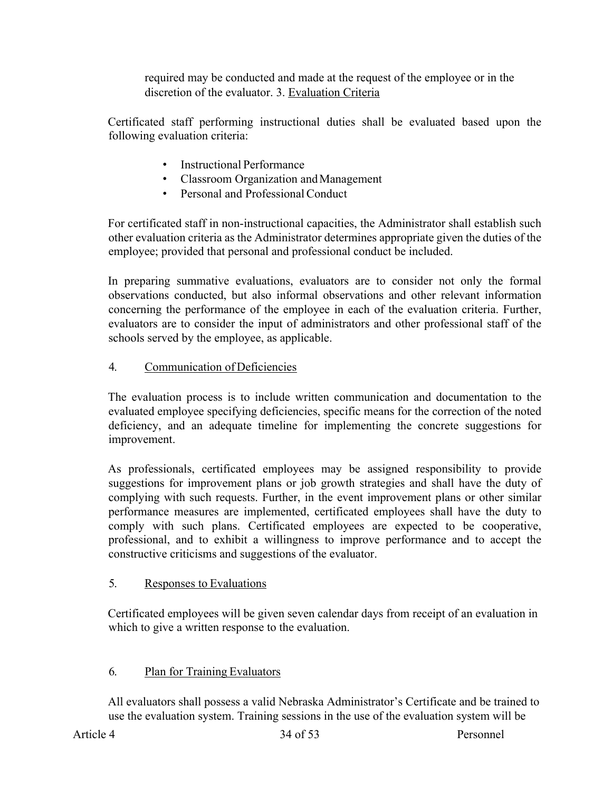required may be conducted and made at the request of the employee or in the discretion of the evaluator. 3. Evaluation Criteria

Certificated staff performing instructional duties shall be evaluated based upon the following evaluation criteria:

- Instructional Performance
- Classroom Organization and Management
- Personal and Professional Conduct

For certificated staff in non-instructional capacities, the Administrator shall establish such other evaluation criteria as the Administrator determines appropriate given the duties of the employee; provided that personal and professional conduct be included.

In preparing summative evaluations, evaluators are to consider not only the formal observations conducted, but also informal observations and other relevant information concerning the performance of the employee in each of the evaluation criteria. Further, evaluators are to consider the input of administrators and other professional staff of the schools served by the employee, as applicable.

### 4. Communication of Deficiencies

The evaluation process is to include written communication and documentation to the evaluated employee specifying deficiencies, specific means for the correction of the noted deficiency, and an adequate timeline for implementing the concrete suggestions for improvement.

As professionals, certificated employees may be assigned responsibility to provide suggestions for improvement plans or job growth strategies and shall have the duty of complying with such requests. Further, in the event improvement plans or other similar performance measures are implemented, certificated employees shall have the duty to comply with such plans. Certificated employees are expected to be cooperative, professional, and to exhibit a willingness to improve performance and to accept the constructive criticisms and suggestions of the evaluator.

# 5. Responses to Evaluations

Certificated employees will be given seven calendar days from receipt of an evaluation in which to give a written response to the evaluation.

# 6. Plan for Training Evaluators

All evaluators shall possess a valid Nebraska Administrator's Certificate and be trained to use the evaluation system. Training sessions in the use of the evaluation system will be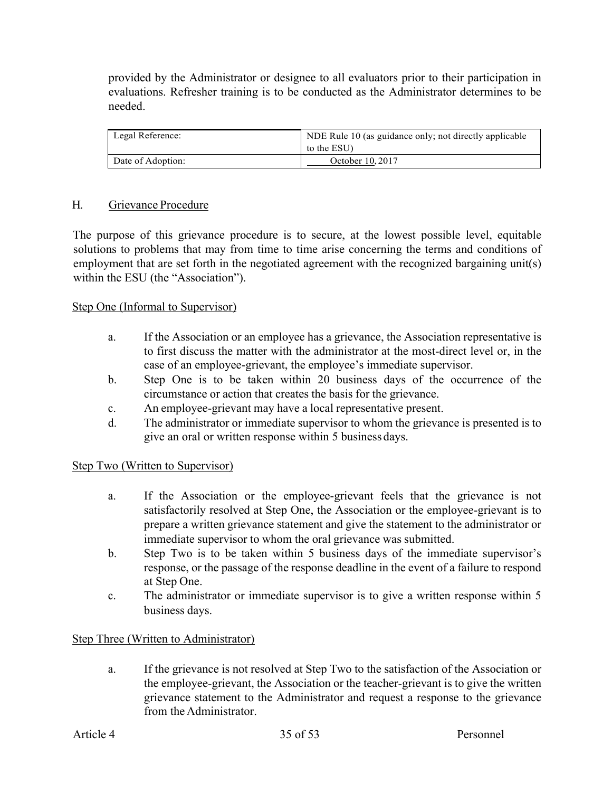provided by the Administrator or designee to all evaluators prior to their participation in evaluations. Refresher training is to be conducted as the Administrator determines to be needed.

| Legal Reference:  | NDE Rule 10 (as guidance only; not directly applicable<br>to the ESU) |
|-------------------|-----------------------------------------------------------------------|
| Date of Adoption: | October 10, 2017                                                      |

#### H. Grievance Procedure

The purpose of this grievance procedure is to secure, at the lowest possible level, equitable solutions to problems that may from time to time arise concerning the terms and conditions of employment that are set forth in the negotiated agreement with the recognized bargaining unit(s) within the ESU (the "Association").

#### Step One (Informal to Supervisor)

- a. If the Association or an employee has a grievance, the Association representative is to first discuss the matter with the administrator at the most-direct level or, in the case of an employee-grievant, the employee's immediate supervisor.
- b. Step One is to be taken within 20 business days of the occurrence of the circumstance or action that creates the basis for the grievance.
- c. An employee-grievant may have a local representative present.
- d. The administrator or immediate supervisor to whom the grievance is presented is to give an oral or written response within 5 business days.

### Step Two (Written to Supervisor)

- a. If the Association or the employee-grievant feels that the grievance is not satisfactorily resolved at Step One, the Association or the employee-grievant is to prepare a written grievance statement and give the statement to the administrator or immediate supervisor to whom the oral grievance was submitted.
- b. Step Two is to be taken within 5 business days of the immediate supervisor's response, or the passage of the response deadline in the event of a failure to respond at Step One.
- c. The administrator or immediate supervisor is to give a written response within 5 business days.

#### Step Three (Written to Administrator)

a. If the grievance is not resolved at Step Two to the satisfaction of the Association or the employee-grievant, the Association or the teacher-grievant is to give the written grievance statement to the Administrator and request a response to the grievance from the Administrator.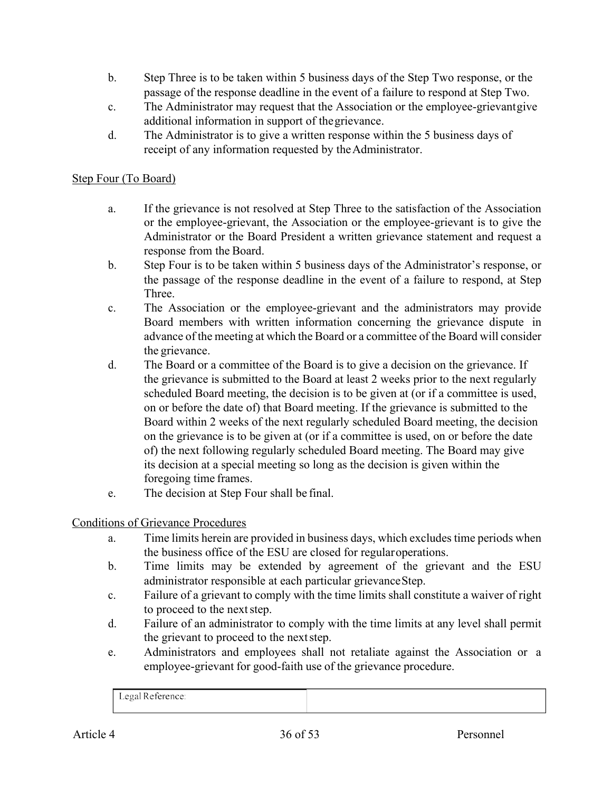- b. Step Three is to be taken within 5 business days of the Step Two response, or the passage of the response deadline in the event of a failure to respond at Step Two.
- c. The Administrator may request that the Association or the employee-grievantgive additional information in support of thegrievance.
- d. The Administrator is to give a written response within the 5 business days of receipt of any information requested by the Administrator.

### Step Four (To Board)

- a. If the grievance is not resolved at Step Three to the satisfaction of the Association or the employee-grievant, the Association or the employee-grievant is to give the Administrator or the Board President a written grievance statement and request a response from the Board.
- b. Step Four is to be taken within 5 business days of the Administrator's response, or the passage of the response deadline in the event of a failure to respond, at Step Three.
- c. The Association or the employee-grievant and the administrators may provide Board members with written information concerning the grievance dispute in advance of the meeting at which the Board or a committee of the Board will consider the grievance.
- d. The Board or a committee of the Board is to give a decision on the grievance. If the grievance is submitted to the Board at least 2 weeks prior to the next regularly scheduled Board meeting, the decision is to be given at (or if a committee is used, on or before the date of) that Board meeting. If the grievance is submitted to the Board within 2 weeks of the next regularly scheduled Board meeting, the decision on the grievance is to be given at (or if a committee is used, on or before the date of) the next following regularly scheduled Board meeting. The Board may give its decision at a special meeting so long as the decision is given within the foregoing time frames.
- e. The decision at Step Four shall be final.

### Conditions of Grievance Procedures

- a. Time limits herein are provided in business days, which excludes time periods when the business office of the ESU are closed for regularoperations.
- b. Time limits may be extended by agreement of the grievant and the ESU administrator responsible at each particular grievanceStep.
- c. Failure of a grievant to comply with the time limits shall constitute a waiver of right to proceed to the next step.
- d. Failure of an administrator to comply with the time limits at any level shall permit the grievant to proceed to the nextstep.
- e. Administrators and employees shall not retaliate against the Association or a employee-grievant for good-faith use of the grievance procedure.

|--|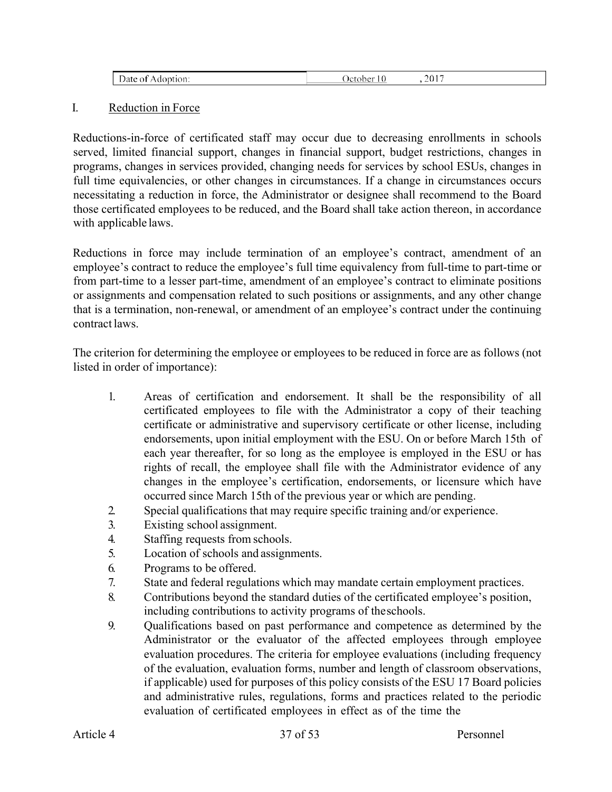| <b>՝ ԿԼՕ</b> հ․<br>the contract of the contract of | $ -$<br>$\sim$<br>л. |  |
|----------------------------------------------------|----------------------|--|
|                                                    |                      |  |

#### I. Reduction in Force

Reductions-in-force of certificated staff may occur due to decreasing enrollments in schools served, limited financial support, changes in financial support, budget restrictions, changes in programs, changes in services provided, changing needs for services by school ESUs, changes in full time equivalencies, or other changes in circumstances. If a change in circumstances occurs necessitating a reduction in force, the Administrator or designee shall recommend to the Board those certificated employees to be reduced, and the Board shall take action thereon, in accordance with applicable laws.

Reductions in force may include termination of an employee's contract, amendment of an employee's contract to reduce the employee's full time equivalency from full-time to part-time or from part-time to a lesser part-time, amendment of an employee's contract to eliminate positions or assignments and compensation related to such positions or assignments, and any other change that is a termination, non-renewal, or amendment of an employee's contract under the continuing contract laws.

The criterion for determining the employee or employees to be reduced in force are as follows (not listed in order of importance):

- 1. Areas of certification and endorsement. It shall be the responsibility of all certificated employees to file with the Administrator a copy of their teaching certificate or administrative and supervisory certificate or other license, including endorsements, upon initial employment with the ESU. On or before March 15th of each year thereafter, for so long as the employee is employed in the ESU or has rights of recall, the employee shall file with the Administrator evidence of any changes in the employee's certification, endorsements, or licensure which have occurred since March 15th of the previous year or which are pending.
- 2. Special qualifications that may require specific training and/or experience.
- 3. Existing school assignment.
- 4. Staffing requests from schools.
- 5. Location of schools and assignments.
- 6. Programs to be offered.
- 7. State and federal regulations which may mandate certain employment practices.
- 8. Contributions beyond the standard duties of the certificated employee's position, including contributions to activity programs of theschools.
- 9. Qualifications based on past performance and competence as determined by the Administrator or the evaluator of the affected employees through employee evaluation procedures. The criteria for employee evaluations (including frequency of the evaluation, evaluation forms, number and length of classroom observations, if applicable) used for purposes of this policy consists of the ESU 17 Board policies and administrative rules, regulations, forms and practices related to the periodic evaluation of certificated employees in effect as of the time the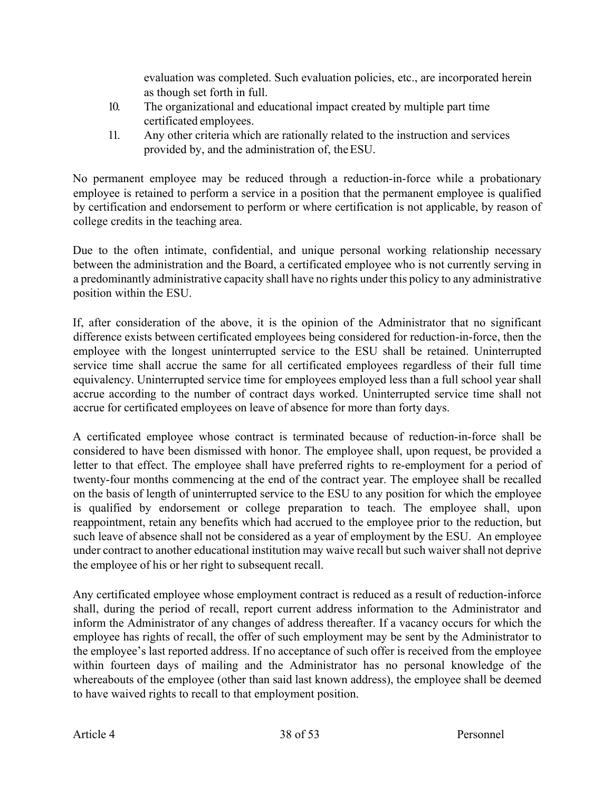evaluation was completed. Such evaluation policies, etc., are incorporated herein as though set forth in full.

- 10. The organizational and educational impact created by multiple part time certificated employees.
- 11. Any other criteria which are rationally related to the instruction and services provided by, and the administration of, theESU.

No permanent employee may be reduced through a reduction-in-force while a probationary employee is retained to perform a service in a position that the permanent employee is qualified by certification and endorsement to perform or where certification is not applicable, by reason of college credits in the teaching area.

Due to the often intimate, confidential, and unique personal working relationship necessary between the administration and the Board, a certificated employee who is not currently serving in a predominantly administrative capacity shall have no rights under this policy to any administrative position within the ESU.

If, after consideration of the above, it is the opinion of the Administrator that no significant difference exists between certificated employees being considered for reduction-in-force, then the employee with the longest uninterrupted service to the ESU shall be retained. Uninterrupted service time shall accrue the same for all certificated employees regardless of their full time equivalency. Uninterrupted service time for employees employed less than a full school year shall accrue according to the number of contract days worked. Uninterrupted service time shall not accrue for certificated employees on leave of absence for more than forty days.

A certificated employee whose contract is terminated because of reduction-in-force shall be considered to have been dismissed with honor. The employee shall, upon request, be provided a letter to that effect. The employee shall have preferred rights to re-employment for a period of twenty-four months commencing at the end of the contract year. The employee shall be recalled on the basis of length of uninterrupted service to the ESU to any position for which the employee is qualified by endorsement or college preparation to teach. The employee shall, upon reappointment, retain any benefits which had accrued to the employee prior to the reduction, but such leave of absence shall not be considered as a year of employment by the ESU. An employee under contract to another educational institution may waive recall but such waiver shall not deprive the employee of his or her right to subsequent recall.

Any certificated employee whose employment contract is reduced as a result of reduction-inforce shall, during the period of recall, report current address information to the Administrator and inform the Administrator of any changes of address thereafter. If a vacancy occurs for which the employee has rights of recall, the offer of such employment may be sent by the Administrator to the employee's last reported address. If no acceptance of such offer is received from the employee within fourteen days of mailing and the Administrator has no personal knowledge of the whereabouts of the employee (other than said last known address), the employee shall be deemed to have waived rights to recall to that employment position.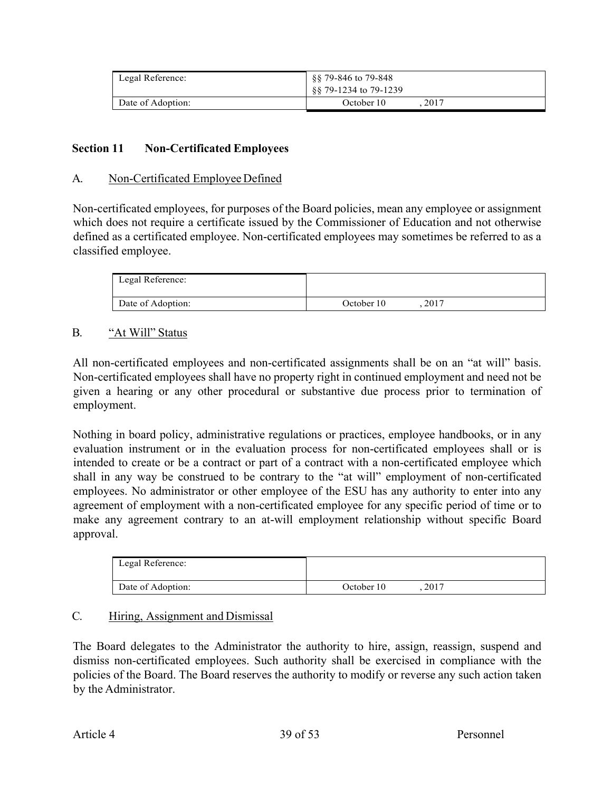| Legal Reference:  | §§ 79-846 to 79-848<br>88 79-1234 to 79-1239 |
|-------------------|----------------------------------------------|
| Date of Adoption: | 2017<br>October 10                           |

### **Section 11 Non-Certificated Employees**

#### A. Non-Certificated Employee Defined

Non-certificated employees, for purposes of the Board policies, mean any employee or assignment which does not require a certificate issued by the Commissioner of Education and not otherwise defined as a certificated employee. Non-certificated employees may sometimes be referred to as a classified employee.

| Legal Reference:  |            |       |  |
|-------------------|------------|-------|--|
| Date of Adoption: | October 10 | .2017 |  |

### B. "At Will" Status

All non-certificated employees and non-certificated assignments shall be on an "at will" basis. Non-certificated employees shall have no property right in continued employment and need not be given a hearing or any other procedural or substantive due process prior to termination of employment.

Nothing in board policy, administrative regulations or practices, employee handbooks, or in any evaluation instrument or in the evaluation process for non-certificated employees shall or is intended to create or be a contract or part of a contract with a non-certificated employee which shall in any way be construed to be contrary to the "at will" employment of non-certificated employees. No administrator or other employee of the ESU has any authority to enter into any agreement of employment with a non-certificated employee for any specific period of time or to make any agreement contrary to an at-will employment relationship without specific Board approval.

| Legal Reference:  |            |      |  |
|-------------------|------------|------|--|
| Date of Adoption: | October 10 | 2017 |  |

### C. Hiring, Assignment and Dismissal

The Board delegates to the Administrator the authority to hire, assign, reassign, suspend and dismiss non-certificated employees. Such authority shall be exercised in compliance with the policies of the Board. The Board reserves the authority to modify or reverse any such action taken by the Administrator.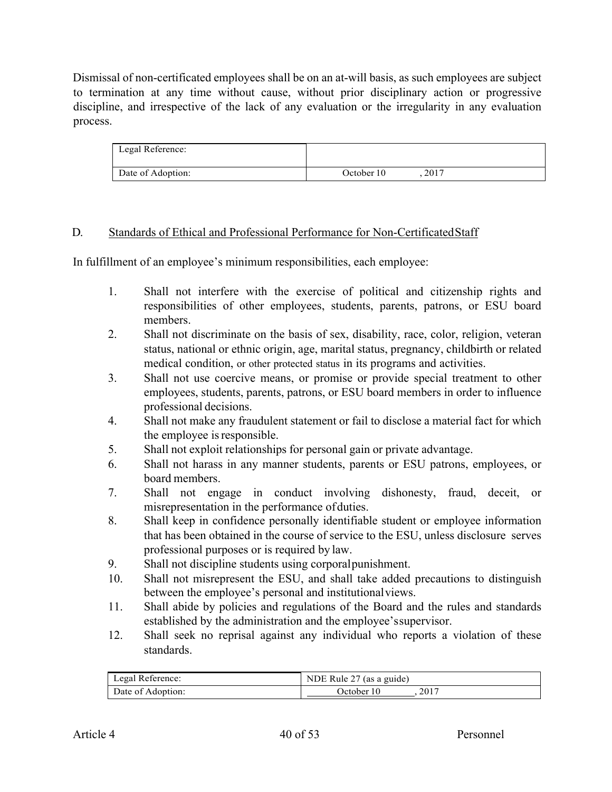Dismissal of non-certificated employees shall be on an at-will basis, as such employees are subject to termination at any time without cause, without prior disciplinary action or progressive discipline, and irrespective of the lack of any evaluation or the irregularity in any evaluation process.

| Legal Reference:  |            |      |  |
|-------------------|------------|------|--|
| Date of Adoption: | October 10 | 2017 |  |

### D. Standards of Ethical and Professional Performance for Non-CertificatedStaff

In fulfillment of an employee's minimum responsibilities, each employee:

- 1. Shall not interfere with the exercise of political and citizenship rights and responsibilities of other employees, students, parents, patrons, or ESU board members.
- 2. Shall not discriminate on the basis of sex, disability, race, color, religion, veteran status, national or ethnic origin, age, marital status, pregnancy, childbirth or related medical condition, or other protected status in its programs and activities.
- 3. Shall not use coercive means, or promise or provide special treatment to other employees, students, parents, patrons, or ESU board members in order to influence professional decisions.
- 4. Shall not make any fraudulent statement or fail to disclose a material fact for which the employee is responsible.
- 5. Shall not exploit relationships for personal gain or private advantage.
- 6. Shall not harass in any manner students, parents or ESU patrons, employees, or board members.
- 7. Shall not engage in conduct involving dishonesty, fraud, deceit, or misrepresentation in the performance ofduties.
- 8. Shall keep in confidence personally identifiable student or employee information that has been obtained in the course of service to the ESU, unless disclosure serves professional purposes or is required by law.
- 9. Shall not discipline students using corporalpunishment.
- 10. Shall not misrepresent the ESU, and shall take added precautions to distinguish between the employee's personal and institutionalviews.
- 11. Shall abide by policies and regulations of the Board and the rules and standards established by the administration and the employee'ssupervisor.
- 12. Shall seek no reprisal against any individual who reports a violation of these standards.

| Legal Reference:  | NDE Rule 27 (as a guide) |  |
|-------------------|--------------------------|--|
| Date of Adoption: | 2017<br>Detober          |  |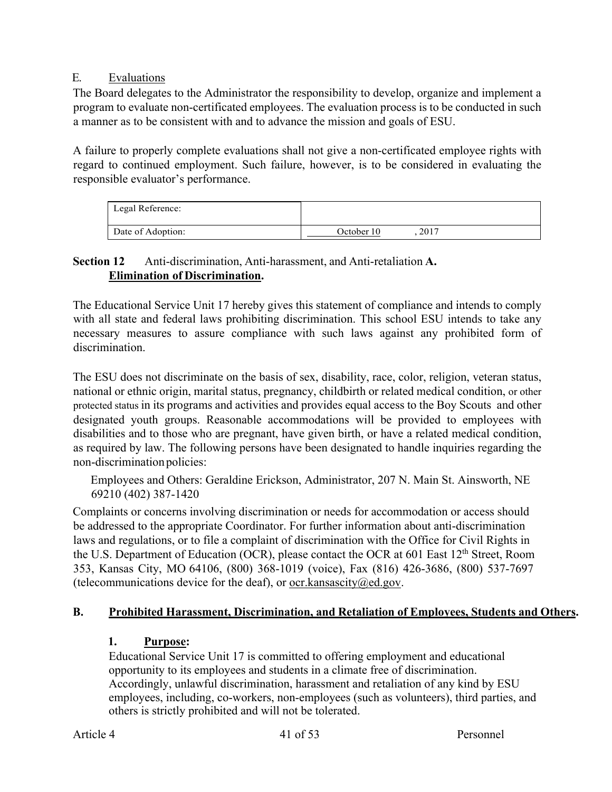### E. Evaluations

The Board delegates to the Administrator the responsibility to develop, organize and implement a program to evaluate non-certificated employees. The evaluation process is to be conducted in such a manner as to be consistent with and to advance the mission and goals of ESU.

A failure to properly complete evaluations shall not give a non-certificated employee rights with regard to continued employment. Such failure, however, is to be considered in evaluating the responsible evaluator's performance.

| Legal Reference:  |                    |
|-------------------|--------------------|
| Date of Adoption: | 2017<br>October 10 |

### **Section 12** Anti-discrimination, Anti-harassment, and Anti-retaliation **A. Elimination of Discrimination.**

The Educational Service Unit 17 hereby gives this statement of compliance and intends to comply with all state and federal laws prohibiting discrimination. This school ESU intends to take any necessary measures to assure compliance with such laws against any prohibited form of discrimination.

The ESU does not discriminate on the basis of sex, disability, race, color, religion, veteran status, national or ethnic origin, marital status, pregnancy, childbirth or related medical condition, or other protected status in its programs and activities and provides equal access to the Boy Scouts and other designated youth groups. Reasonable accommodations will be provided to employees with disabilities and to those who are pregnant, have given birth, or have a related medical condition, as required by law. The following persons have been designated to handle inquiries regarding the non-discrimination policies:

Employees and Others: Geraldine Erickson, Administrator, 207 N. Main St. Ainsworth, NE 69210 (402) 387-1420

Complaints or concerns involving discrimination or needs for accommodation or access should be addressed to the appropriate Coordinator. For further information about anti-discrimination laws and regulations, or to file a complaint of discrimination with the Office for Civil Rights in the U.S. Department of Education (OCR), please contact the OCR at 601 East  $12<sup>th</sup>$  Street, Room 353, Kansas City, MO 64106, (800) 368-1019 (voice), Fax (816) 426-3686, (800) 537-7697 (telecommunications device for the deaf), or ocr. kansascity  $(\partial \text{ed.gov})$ .

# **B. Prohibited Harassment, Discrimination, and Retaliation of Employees, Students and Others.**

# **1. Purpose:**

Educational Service Unit 17 is committed to offering employment and educational opportunity to its employees and students in a climate free of discrimination. Accordingly, unlawful discrimination, harassment and retaliation of any kind by ESU employees, including, co-workers, non-employees (such as volunteers), third parties, and others is strictly prohibited and will not be tolerated.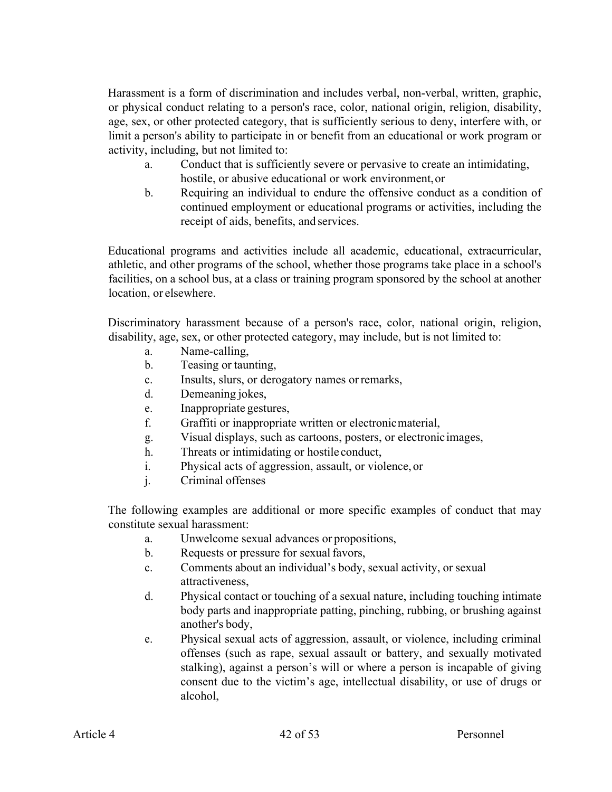Harassment is a form of discrimination and includes verbal, non-verbal, written, graphic, or physical conduct relating to a person's race, color, national origin, religion, disability, age, sex, or other protected category, that is sufficiently serious to deny, interfere with, or limit a person's ability to participate in or benefit from an educational or work program or activity, including, but not limited to:

- a. Conduct that is sufficiently severe or pervasive to create an intimidating, hostile, or abusive educational or work environment,or
- b. Requiring an individual to endure the offensive conduct as a condition of continued employment or educational programs or activities, including the receipt of aids, benefits, and services.

Educational programs and activities include all academic, educational, extracurricular, athletic, and other programs of the school, whether those programs take place in a school's facilities, on a school bus, at a class or training program sponsored by the school at another location, or elsewhere.

Discriminatory harassment because of a person's race, color, national origin, religion, disability, age, sex, or other protected category, may include, but is not limited to:

- a. Name-calling,
- b. Teasing or taunting,
- c. Insults, slurs, or derogatory names orremarks,
- d. Demeaning jokes,
- e. Inappropriate gestures,
- f. Graffiti or inappropriate written or electronicmaterial,
- g. Visual displays, such as cartoons, posters, or electronicimages,
- h. Threats or intimidating or hostile conduct,
- i. Physical acts of aggression, assault, or violence, or
- j. Criminal offenses

The following examples are additional or more specific examples of conduct that may constitute sexual harassment:

- a. Unwelcome sexual advances or propositions,
- b. Requests or pressure for sexual favors,
- c. Comments about an individual's body, sexual activity, or sexual attractiveness,
- d. Physical contact or touching of a sexual nature, including touching intimate body parts and inappropriate patting, pinching, rubbing, or brushing against another's body,
- e. Physical sexual acts of aggression, assault, or violence, including criminal offenses (such as rape, sexual assault or battery, and sexually motivated stalking), against a person's will or where a person is incapable of giving consent due to the victim's age, intellectual disability, or use of drugs or alcohol,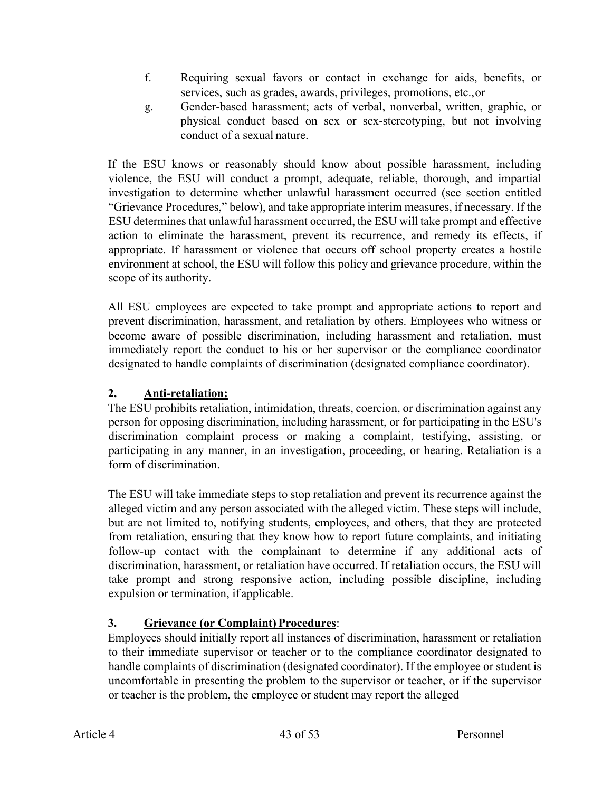- f. Requiring sexual favors or contact in exchange for aids, benefits, or services, such as grades, awards, privileges, promotions, etc.,or
- g. Gender-based harassment; acts of verbal, nonverbal, written, graphic, or physical conduct based on sex or sex-stereotyping, but not involving conduct of a sexual nature.

If the ESU knows or reasonably should know about possible harassment, including violence, the ESU will conduct a prompt, adequate, reliable, thorough, and impartial investigation to determine whether unlawful harassment occurred (see section entitled "Grievance Procedures," below), and take appropriate interim measures, if necessary. If the ESU determines that unlawful harassment occurred, the ESU will take prompt and effective action to eliminate the harassment, prevent its recurrence, and remedy its effects, if appropriate. If harassment or violence that occurs off school property creates a hostile environment at school, the ESU will follow this policy and grievance procedure, within the scope of its authority.

All ESU employees are expected to take prompt and appropriate actions to report and prevent discrimination, harassment, and retaliation by others. Employees who witness or become aware of possible discrimination, including harassment and retaliation, must immediately report the conduct to his or her supervisor or the compliance coordinator designated to handle complaints of discrimination (designated compliance coordinator).

# **2. Anti-retaliation:**

The ESU prohibits retaliation, intimidation, threats, coercion, or discrimination against any person for opposing discrimination, including harassment, or for participating in the ESU's discrimination complaint process or making a complaint, testifying, assisting, or participating in any manner, in an investigation, proceeding, or hearing. Retaliation is a form of discrimination.

The ESU will take immediate steps to stop retaliation and prevent its recurrence against the alleged victim and any person associated with the alleged victim. These steps will include, but are not limited to, notifying students, employees, and others, that they are protected from retaliation, ensuring that they know how to report future complaints, and initiating follow-up contact with the complainant to determine if any additional acts of discrimination, harassment, or retaliation have occurred. If retaliation occurs, the ESU will take prompt and strong responsive action, including possible discipline, including expulsion or termination, if applicable.

# **3.** Grievance (or Complaint) Procedures:

Employees should initially report all instances of discrimination, harassment or retaliation to their immediate supervisor or teacher or to the compliance coordinator designated to handle complaints of discrimination (designated coordinator). If the employee or student is uncomfortable in presenting the problem to the supervisor or teacher, or if the supervisor or teacher is the problem, the employee or student may report the alleged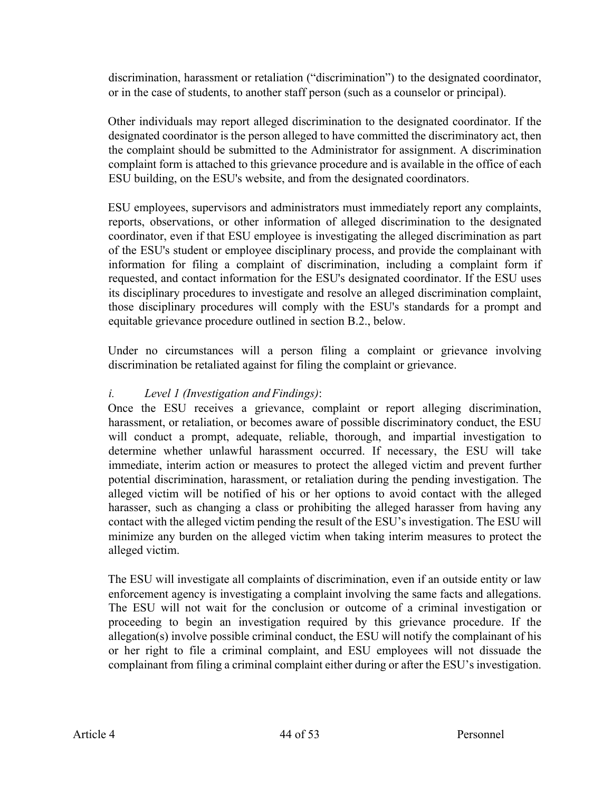discrimination, harassment or retaliation ("discrimination") to the designated coordinator, or in the case of students, to another staff person (such as a counselor or principal).

Other individuals may report alleged discrimination to the designated coordinator. If the designated coordinator is the person alleged to have committed the discriminatory act, then the complaint should be submitted to the Administrator for assignment. A discrimination complaint form is attached to this grievance procedure and is available in the office of each ESU building, on the ESU's website, and from the designated coordinators.

ESU employees, supervisors and administrators must immediately report any complaints, reports, observations, or other information of alleged discrimination to the designated coordinator, even if that ESU employee is investigating the alleged discrimination as part of the ESU's student or employee disciplinary process, and provide the complainant with information for filing a complaint of discrimination, including a complaint form if requested, and contact information for the ESU's designated coordinator. If the ESU uses its disciplinary procedures to investigate and resolve an alleged discrimination complaint, those disciplinary procedures will comply with the ESU's standards for a prompt and equitable grievance procedure outlined in section B.2., below.

Under no circumstances will a person filing a complaint or grievance involving discrimination be retaliated against for filing the complaint or grievance.

# *i. Level 1 (Investigation and Findings)*:

Once the ESU receives a grievance, complaint or report alleging discrimination, harassment, or retaliation, or becomes aware of possible discriminatory conduct, the ESU will conduct a prompt, adequate, reliable, thorough, and impartial investigation to determine whether unlawful harassment occurred. If necessary, the ESU will take immediate, interim action or measures to protect the alleged victim and prevent further potential discrimination, harassment, or retaliation during the pending investigation. The alleged victim will be notified of his or her options to avoid contact with the alleged harasser, such as changing a class or prohibiting the alleged harasser from having any contact with the alleged victim pending the result of the ESU's investigation. The ESU will minimize any burden on the alleged victim when taking interim measures to protect the alleged victim.

The ESU will investigate all complaints of discrimination, even if an outside entity or law enforcement agency is investigating a complaint involving the same facts and allegations. The ESU will not wait for the conclusion or outcome of a criminal investigation or proceeding to begin an investigation required by this grievance procedure. If the allegation(s) involve possible criminal conduct, the ESU will notify the complainant of his or her right to file a criminal complaint, and ESU employees will not dissuade the complainant from filing a criminal complaint either during or after the ESU's investigation.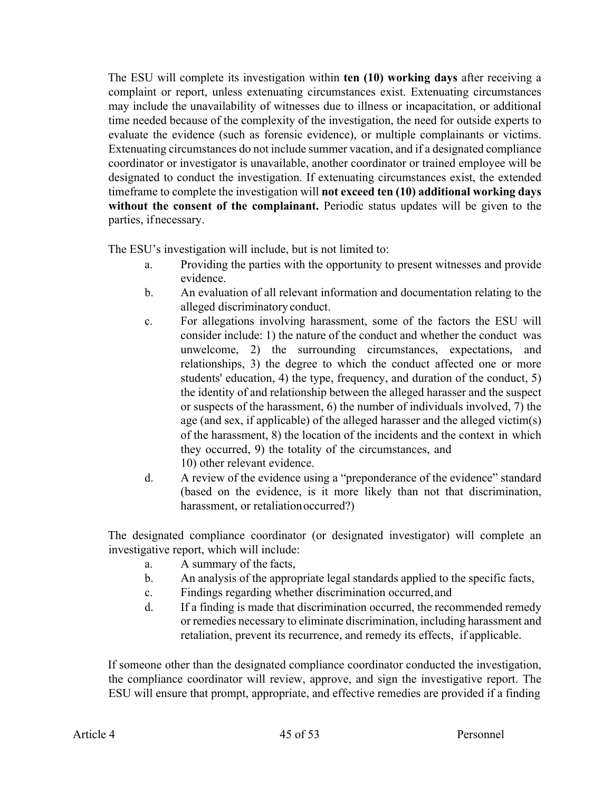The ESU will complete its investigation within **ten (10) working days** after receiving a complaint or report, unless extenuating circumstances exist. Extenuating circumstances may include the unavailability of witnesses due to illness or incapacitation, or additional time needed because of the complexity of the investigation, the need for outside experts to evaluate the evidence (such as forensic evidence), or multiple complainants or victims. Extenuating circumstances do not include summer vacation, and if a designated compliance coordinator or investigator is unavailable, another coordinator or trained employee will be designated to conduct the investigation. If extenuating circumstances exist, the extended timeframe to complete the investigation will **not exceed ten (10) additional working days without the consent of the complainant.** Periodic status updates will be given to the parties, ifnecessary.

The ESU's investigation will include, but is not limited to:

- a. Providing the parties with the opportunity to present witnesses and provide evidence.
- b. An evaluation of all relevant information and documentation relating to the alleged discriminatory conduct.
- c. For allegations involving harassment, some of the factors the ESU will consider include: 1) the nature of the conduct and whether the conduct was unwelcome, 2) the surrounding circumstances, expectations, and relationships, 3) the degree to which the conduct affected one or more students' education, 4) the type, frequency, and duration of the conduct, 5) the identity of and relationship between the alleged harasser and the suspect or suspects of the harassment, 6) the number of individuals involved, 7) the age (and sex, if applicable) of the alleged harasser and the alleged victim(s) of the harassment, 8) the location of the incidents and the context in which they occurred, 9) the totality of the circumstances, and 10) other relevant evidence.
- d. A review of the evidence using a "preponderance of the evidence" standard (based on the evidence, is it more likely than not that discrimination, harassment, or retaliationoccurred?)

The designated compliance coordinator (or designated investigator) will complete an investigative report, which will include:

- a. A summary of the facts,
- b. An analysis of the appropriate legal standards applied to the specific facts,
- c. Findings regarding whether discrimination occurred,and
- d. If a finding is made that discrimination occurred, the recommended remedy or remedies necessary to eliminate discrimination, including harassment and retaliation, prevent its recurrence, and remedy its effects, if applicable.

If someone other than the designated compliance coordinator conducted the investigation, the compliance coordinator will review, approve, and sign the investigative report. The ESU will ensure that prompt, appropriate, and effective remedies are provided if a finding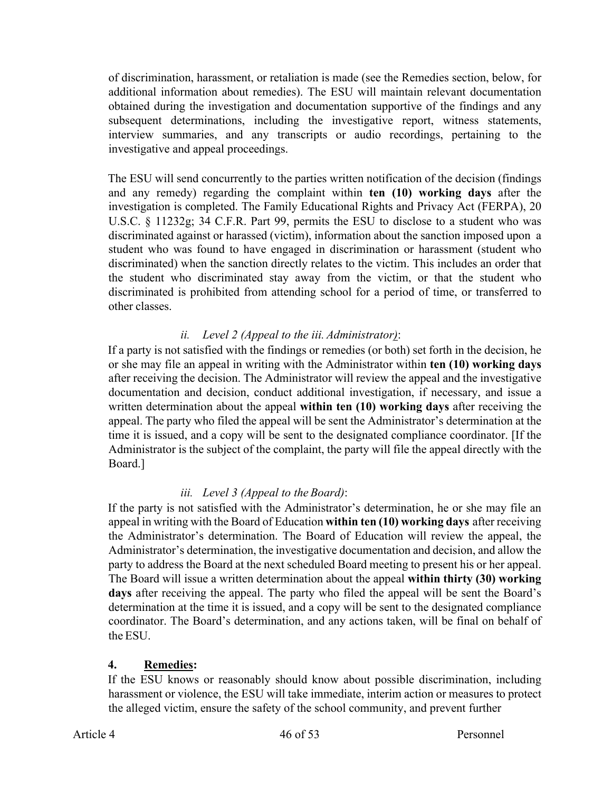of discrimination, harassment, or retaliation is made (see the Remedies section, below, for additional information about remedies). The ESU will maintain relevant documentation obtained during the investigation and documentation supportive of the findings and any subsequent determinations, including the investigative report, witness statements, interview summaries, and any transcripts or audio recordings, pertaining to the investigative and appeal proceedings.

The ESU will send concurrently to the parties written notification of the decision (findings and any remedy) regarding the complaint within **ten (10) working days** after the investigation is completed. The Family Educational Rights and Privacy Act (FERPA), 20 U.S.C. § 11232g; 34 C.F.R. Part 99, permits the ESU to disclose to a student who was discriminated against or harassed (victim), information about the sanction imposed upon a student who was found to have engaged in discrimination or harassment (student who discriminated) when the sanction directly relates to the victim. This includes an order that the student who discriminated stay away from the victim, or that the student who discriminated is prohibited from attending school for a period of time, or transferred to other classes.

# *ii. Level 2 (Appeal to the iii. Administrator)*:

If a party is not satisfied with the findings or remedies (or both) set forth in the decision, he or she may file an appeal in writing with the Administrator within **ten (10) working days**  after receiving the decision. The Administrator will review the appeal and the investigative documentation and decision, conduct additional investigation, if necessary, and issue a written determination about the appeal **within ten (10) working days** after receiving the appeal. The party who filed the appeal will be sent the Administrator's determination at the time it is issued, and a copy will be sent to the designated compliance coordinator. [If the Administrator is the subject of the complaint, the party will file the appeal directly with the Board.]

# *iii. Level 3 (Appeal to the Board)*:

If the party is not satisfied with the Administrator's determination, he or she may file an appeal in writing with the Board of Education **within ten (10) working days** after receiving the Administrator's determination. The Board of Education will review the appeal, the Administrator's determination, the investigative documentation and decision, and allow the party to address the Board at the next scheduled Board meeting to present his or her appeal. The Board will issue a written determination about the appeal **within thirty (30) working days** after receiving the appeal. The party who filed the appeal will be sent the Board's determination at the time it is issued, and a copy will be sent to the designated compliance coordinator. The Board's determination, and any actions taken, will be final on behalf of the ESU.

# **4. Remedies:**

If the ESU knows or reasonably should know about possible discrimination, including harassment or violence, the ESU will take immediate, interim action or measures to protect the alleged victim, ensure the safety of the school community, and prevent further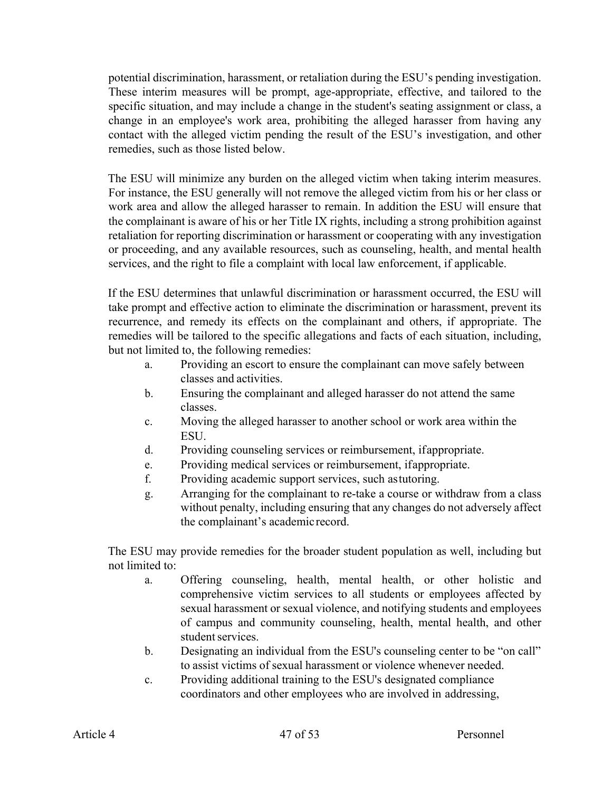potential discrimination, harassment, or retaliation during the ESU's pending investigation. These interim measures will be prompt, age-appropriate, effective, and tailored to the specific situation, and may include a change in the student's seating assignment or class, a change in an employee's work area, prohibiting the alleged harasser from having any contact with the alleged victim pending the result of the ESU's investigation, and other remedies, such as those listed below.

The ESU will minimize any burden on the alleged victim when taking interim measures. For instance, the ESU generally will not remove the alleged victim from his or her class or work area and allow the alleged harasser to remain. In addition the ESU will ensure that the complainant is aware of his or her Title IX rights, including a strong prohibition against retaliation for reporting discrimination or harassment or cooperating with any investigation or proceeding, and any available resources, such as counseling, health, and mental health services, and the right to file a complaint with local law enforcement, if applicable.

If the ESU determines that unlawful discrimination or harassment occurred, the ESU will take prompt and effective action to eliminate the discrimination or harassment, prevent its recurrence, and remedy its effects on the complainant and others, if appropriate. The remedies will be tailored to the specific allegations and facts of each situation, including, but not limited to, the following remedies:

- a. Providing an escort to ensure the complainant can move safely between classes and activities.
- b. Ensuring the complainant and alleged harasser do not attend the same classes.
- c. Moving the alleged harasser to another school or work area within the ESU.
- d. Providing counseling services or reimbursement, ifappropriate.
- e. Providing medical services or reimbursement, ifappropriate.
- f. Providing academic support services, such astutoring.
- g. Arranging for the complainant to re-take a course or withdraw from a class without penalty, including ensuring that any changes do not adversely affect the complainant's academic record.

The ESU may provide remedies for the broader student population as well, including but not limited to:

- a. Offering counseling, health, mental health, or other holistic and comprehensive victim services to all students or employees affected by sexual harassment or sexual violence, and notifying students and employees of campus and community counseling, health, mental health, and other student services.
- b. Designating an individual from the ESU's counseling center to be "on call" to assist victims of sexual harassment or violence whenever needed.
- c. Providing additional training to the ESU's designated compliance coordinators and other employees who are involved in addressing,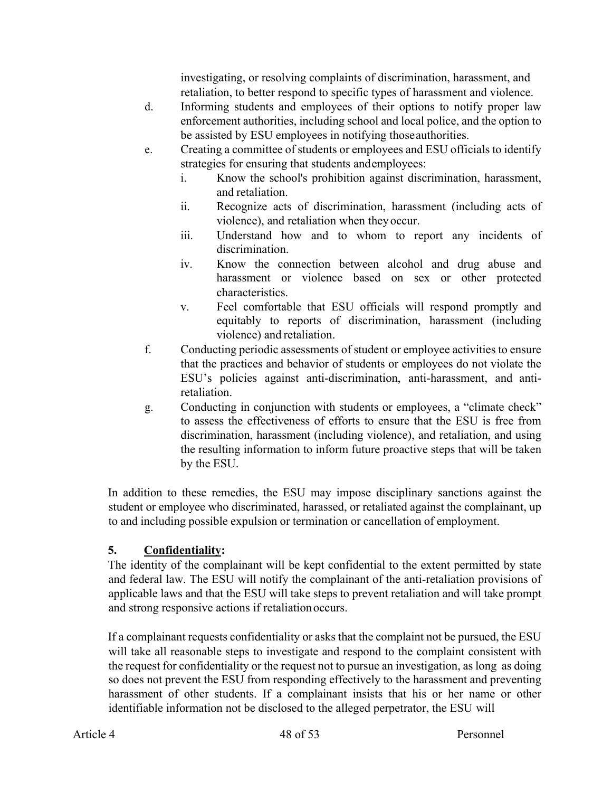investigating, or resolving complaints of discrimination, harassment, and retaliation, to better respond to specific types of harassment and violence.

- d. Informing students and employees of their options to notify proper law enforcement authorities, including school and local police, and the option to be assisted by ESU employees in notifying thoseauthorities.
- e. Creating a committee of students or employees and ESU officials to identify strategies for ensuring that students andemployees:
	- i. Know the school's prohibition against discrimination, harassment, and retaliation.
	- ii. Recognize acts of discrimination, harassment (including acts of violence), and retaliation when they occur.
	- iii. Understand how and to whom to report any incidents of discrimination.
	- iv. Know the connection between alcohol and drug abuse and harassment or violence based on sex or other protected characteristics.
	- v. Feel comfortable that ESU officials will respond promptly and equitably to reports of discrimination, harassment (including violence) and retaliation.
- f. Conducting periodic assessments of student or employee activities to ensure that the practices and behavior of students or employees do not violate the ESU's policies against anti-discrimination, anti-harassment, and antiretaliation.
- g. Conducting in conjunction with students or employees, a "climate check" to assess the effectiveness of efforts to ensure that the ESU is free from discrimination, harassment (including violence), and retaliation, and using the resulting information to inform future proactive steps that will be taken by the ESU.

In addition to these remedies, the ESU may impose disciplinary sanctions against the student or employee who discriminated, harassed, or retaliated against the complainant, up to and including possible expulsion or termination or cancellation of employment.

# **5. Confidentiality:**

The identity of the complainant will be kept confidential to the extent permitted by state and federal law. The ESU will notify the complainant of the anti-retaliation provisions of applicable laws and that the ESU will take steps to prevent retaliation and will take prompt and strong responsive actions if retaliationoccurs.

If a complainant requests confidentiality or asks that the complaint not be pursued, the ESU will take all reasonable steps to investigate and respond to the complaint consistent with the request for confidentiality or the request not to pursue an investigation, as long as doing so does not prevent the ESU from responding effectively to the harassment and preventing harassment of other students. If a complainant insists that his or her name or other identifiable information not be disclosed to the alleged perpetrator, the ESU will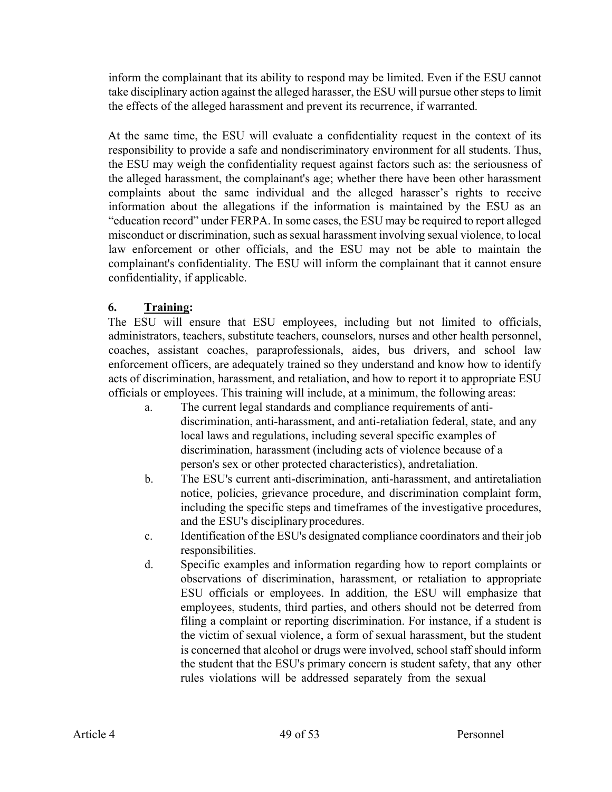inform the complainant that its ability to respond may be limited. Even if the ESU cannot take disciplinary action against the alleged harasser, the ESU will pursue other steps to limit the effects of the alleged harassment and prevent its recurrence, if warranted.

At the same time, the ESU will evaluate a confidentiality request in the context of its responsibility to provide a safe and nondiscriminatory environment for all students. Thus, the ESU may weigh the confidentiality request against factors such as: the seriousness of the alleged harassment, the complainant's age; whether there have been other harassment complaints about the same individual and the alleged harasser's rights to receive information about the allegations if the information is maintained by the ESU as an "education record" under FERPA. In some cases, the ESU may be required to report alleged misconduct or discrimination, such as sexual harassment involving sexual violence, to local law enforcement or other officials, and the ESU may not be able to maintain the complainant's confidentiality. The ESU will inform the complainant that it cannot ensure confidentiality, if applicable.

# **6. Training:**

The ESU will ensure that ESU employees, including but not limited to officials, administrators, teachers, substitute teachers, counselors, nurses and other health personnel, coaches, assistant coaches, paraprofessionals, aides, bus drivers, and school law enforcement officers, are adequately trained so they understand and know how to identify acts of discrimination, harassment, and retaliation, and how to report it to appropriate ESU officials or employees. This training will include, at a minimum, the following areas:

- a. The current legal standards and compliance requirements of antidiscrimination, anti-harassment, and anti-retaliation federal, state, and any local laws and regulations, including several specific examples of discrimination, harassment (including acts of violence because of a person's sex or other protected characteristics), andretaliation.
- b. The ESU's current anti-discrimination, anti-harassment, and antiretaliation notice, policies, grievance procedure, and discrimination complaint form, including the specific steps and timeframes of the investigative procedures, and the ESU's disciplinaryprocedures.
- c. Identification of the ESU's designated compliance coordinators and their job responsibilities.
- d. Specific examples and information regarding how to report complaints or observations of discrimination, harassment, or retaliation to appropriate ESU officials or employees. In addition, the ESU will emphasize that employees, students, third parties, and others should not be deterred from filing a complaint or reporting discrimination. For instance, if a student is the victim of sexual violence, a form of sexual harassment, but the student is concerned that alcohol or drugs were involved, school staff should inform the student that the ESU's primary concern is student safety, that any other rules violations will be addressed separately from the sexual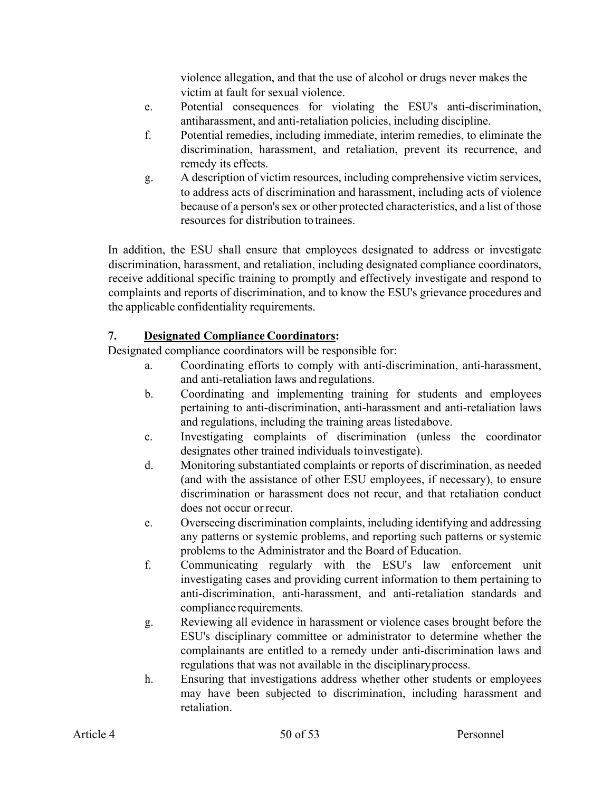violence allegation, and that the use of alcohol or drugs never makes the victim at fault for sexual violence.

- e. Potential consequences for violating the ESU's anti-discrimination, antiharassment, and anti-retaliation policies, including discipline.
- f. Potential remedies, including immediate, interim remedies, to eliminate the discrimination, harassment, and retaliation, prevent its recurrence, and remedy its effects.
- g. A description of victim resources, including comprehensive victim services, to address acts of discrimination and harassment, including acts of violence because of a person's sex or other protected characteristics, and a list of those resources for distribution to trainees.

In addition, the ESU shall ensure that employees designated to address or investigate discrimination, harassment, and retaliation, including designated compliance coordinators, receive additional specific training to promptly and effectively investigate and respond to complaints and reports of discrimination, and to know the ESU's grievance procedures and the applicable confidentiality requirements.

# **7. Designated Compliance Coordinators:**

Designated compliance coordinators will be responsible for:

- a. Coordinating efforts to comply with anti-discrimination, anti-harassment, and anti-retaliation laws and regulations.
- b. Coordinating and implementing training for students and employees pertaining to anti-discrimination, anti-harassment and anti-retaliation laws and regulations, including the training areas listedabove.
- c. Investigating complaints of discrimination (unless the coordinator designates other trained individuals toinvestigate).
- d. Monitoring substantiated complaints or reports of discrimination, as needed (and with the assistance of other ESU employees, if necessary), to ensure discrimination or harassment does not recur, and that retaliation conduct does not occur orrecur.
- e. Overseeing discrimination complaints, including identifying and addressing any patterns or systemic problems, and reporting such patterns or systemic problems to the Administrator and the Board of Education.
- f. Communicating regularly with the ESU's law enforcement unit investigating cases and providing current information to them pertaining to anti-discrimination, anti-harassment, and anti-retaliation standards and compliance requirements.
- g. Reviewing all evidence in harassment or violence cases brought before the ESU's disciplinary committee or administrator to determine whether the complainants are entitled to a remedy under anti-discrimination laws and regulations that was not available in the disciplinaryprocess.
- h. Ensuring that investigations address whether other students or employees may have been subjected to discrimination, including harassment and retaliation.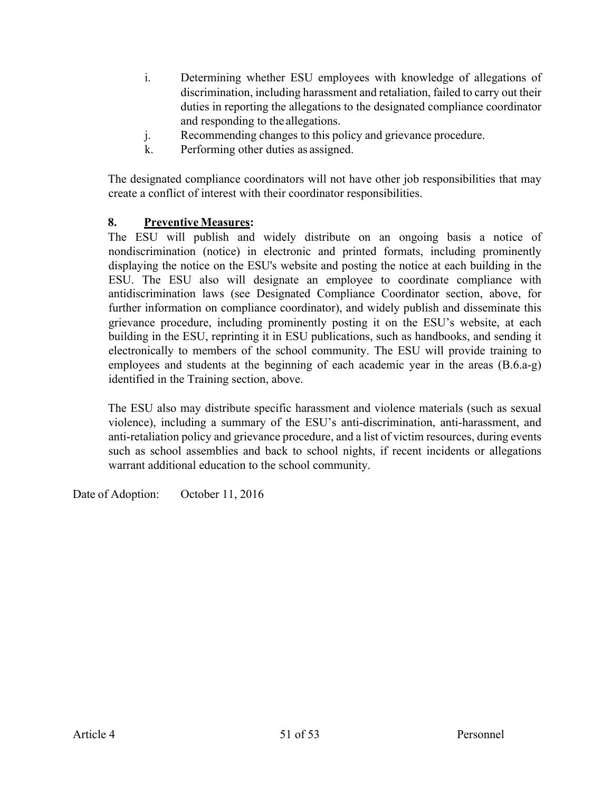- i. Determining whether ESU employees with knowledge of allegations of discrimination, including harassment and retaliation, failed to carry out their duties in reporting the allegations to the designated compliance coordinator and responding to the allegations.
- j. Recommending changes to this policy and grievance procedure.
- k. Performing other duties as assigned.

The designated compliance coordinators will not have other job responsibilities that may create a conflict of interest with their coordinator responsibilities.

### **8. Preventive Measures:**

The ESU will publish and widely distribute on an ongoing basis a notice of nondiscrimination (notice) in electronic and printed formats, including prominently displaying the notice on the ESU's website and posting the notice at each building in the ESU. The ESU also will designate an employee to coordinate compliance with antidiscrimination laws (see Designated Compliance Coordinator section, above, for further information on compliance coordinator), and widely publish and disseminate this grievance procedure, including prominently posting it on the ESU's website, at each building in the ESU, reprinting it in ESU publications, such as handbooks, and sending it electronically to members of the school community. The ESU will provide training to employees and students at the beginning of each academic year in the areas (B.6.a-g) identified in the Training section, above.

The ESU also may distribute specific harassment and violence materials (such as sexual violence), including a summary of the ESU's anti-discrimination, anti-harassment, and anti-retaliation policy and grievance procedure, and a list of victim resources, during events such as school assemblies and back to school nights, if recent incidents or allegations warrant additional education to the school community.

Date of Adoption: October 11, 2016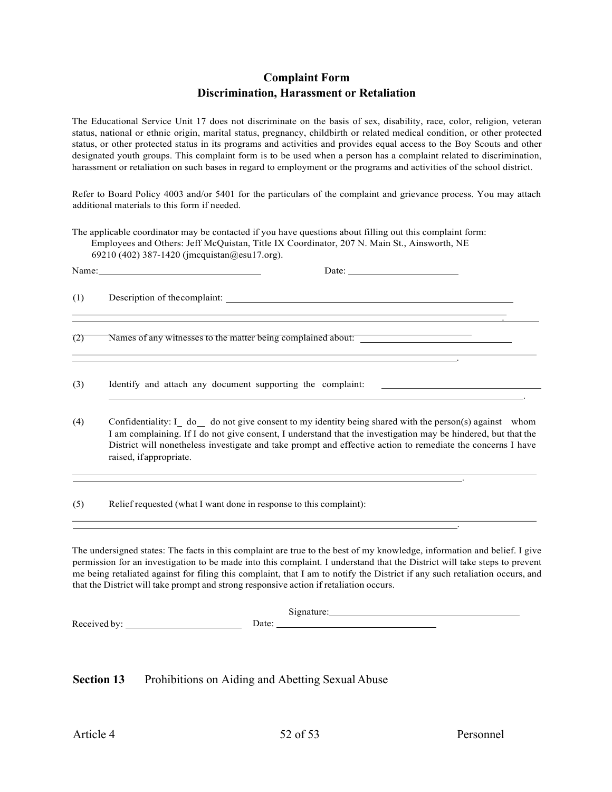#### **Complaint Form Discrimination, Harassment or Retaliation**

The Educational Service Unit 17 does not discriminate on the basis of sex, disability, race, color, religion, veteran status, national or ethnic origin, marital status, pregnancy, childbirth or related medical condition, or other protected status, or other protected status in its programs and activities and provides equal access to the Boy Scouts and other designated youth groups. This complaint form is to be used when a person has a complaint related to discrimination, harassment or retaliation on such bases in regard to employment or the programs and activities of the school district.

Refer to Board Policy 4003 and/or 5401 for the particulars of the complaint and grievance process. You may attach additional materials to this form if needed.

The applicable coordinator may be contacted if you have questions about filling out this complaint form: Employees and Others: Jeff McQuistan, Title IX Coordinator, 207 N. Main St., Ainsworth, NE 69210 (402) 387-1420 (jmcquistan@esu17.org).

|     | Name: Name and the second state of the second state of the second state of the second state of the second state of the second state of the second state of the second state of the second state of the second state of the sec<br>Date: $\qquad \qquad$                                                                                                       |
|-----|---------------------------------------------------------------------------------------------------------------------------------------------------------------------------------------------------------------------------------------------------------------------------------------------------------------------------------------------------------------|
| (1) |                                                                                                                                                                                                                                                                                                                                                               |
| (2) | ,我们也不会有什么。""我们的人,我们也不会有什么?""我们的人,我们也不会有什么?""我们的人,我们也不会有什么?""我们的人,我们也不会有什么?""我们的人<br>the contract of the contract of the contract of the contract of the contract of the contract of the contract of                                                                                                                                                           |
| (3) | Identify and attach any document supporting the complaint: ______________________                                                                                                                                                                                                                                                                             |
| (4) | Confidentiality: I do one give consent to my identity being shared with the person(s) against whom<br>I am complaining. If I do not give consent, I understand that the investigation may be hindered, but that the<br>District will nonetheless investigate and take prompt and effective action to remediate the concerns I have<br>raised, if appropriate. |
|     |                                                                                                                                                                                                                                                                                                                                                               |

The undersigned states: The facts in this complaint are true to the best of my knowledge, information and belief. I give permission for an investigation to be made into this complaint. I understand that the District will take steps to prevent me being retaliated against for filing this complaint, that I am to notify the District if any such retaliation occurs, and that the District will take prompt and strong responsive action if retaliation occurs.

|                   |      | $1 - 1 - 1 - 1$<br>Signature: |
|-------------------|------|-------------------------------|
| Received<br>. hv• | Jate |                               |

**Section 13** Prohibitions on Aiding and Abetting Sexual Abuse

(5) Relief requested (what I want done in response to this complaint):

.